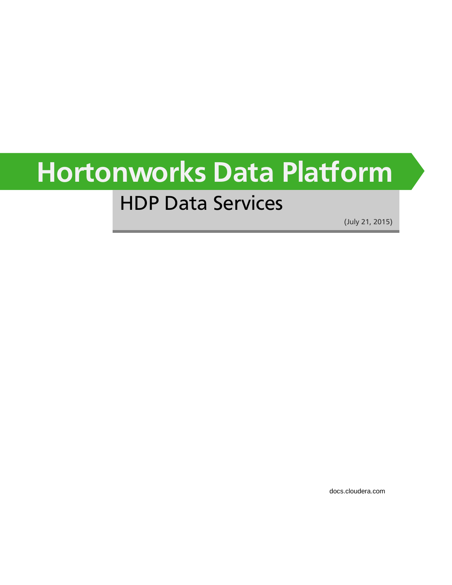# **Hortonworks Data Platform**

## HDP Data Services

(July 21, 2015)

[docs.cloudera.com](http://docs.cloudera.com)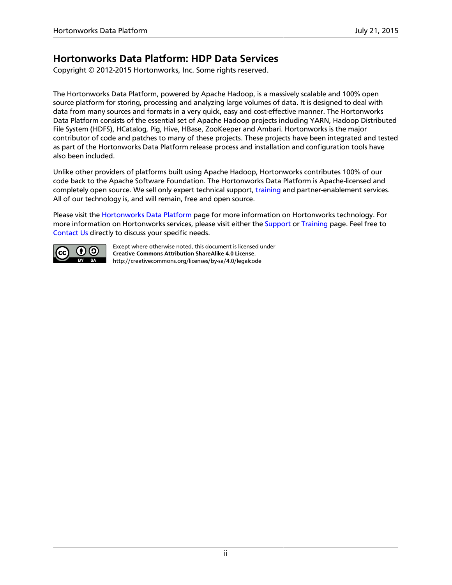### **Hortonworks Data Platform: HDP Data Services**

Copyright © 2012-2015 Hortonworks, Inc. Some rights reserved.

The Hortonworks Data Platform, powered by Apache Hadoop, is a massively scalable and 100% open source platform for storing, processing and analyzing large volumes of data. It is designed to deal with data from many sources and formats in a very quick, easy and cost-effective manner. The Hortonworks Data Platform consists of the essential set of Apache Hadoop projects including YARN, Hadoop Distributed File System (HDFS), HCatalog, Pig, Hive, HBase, ZooKeeper and Ambari. Hortonworks is the major contributor of code and patches to many of these projects. These projects have been integrated and tested as part of the Hortonworks Data Platform release process and installation and configuration tools have also been included.

Unlike other providers of platforms built using Apache Hadoop, Hortonworks contributes 100% of our code back to the Apache Software Foundation. The Hortonworks Data Platform is Apache-licensed and completely open source. We sell only expert technical support, [training](https://hortonworks.com/training/) and partner-enablement services. All of our technology is, and will remain, free and open source.

Please visit the [Hortonworks Data Platform](https://hortonworks.com/products/hdp/) page for more information on Hortonworks technology. For more information on Hortonworks services, please visit either the [Support](https://hortonworks.com/services/) or [Training](https://hortonworks.com/training/) page. Feel free to [Contact Us](https://hortonworks.com/contact-us/) directly to discuss your specific needs.



Except where otherwise noted, this document is licensed under **[Creative Commons Attribution ShareAlike 4.0 License](http://creativecommons.org/licenses/by-sa/4.0/legalcode)**. <http://creativecommons.org/licenses/by-sa/4.0/legalcode>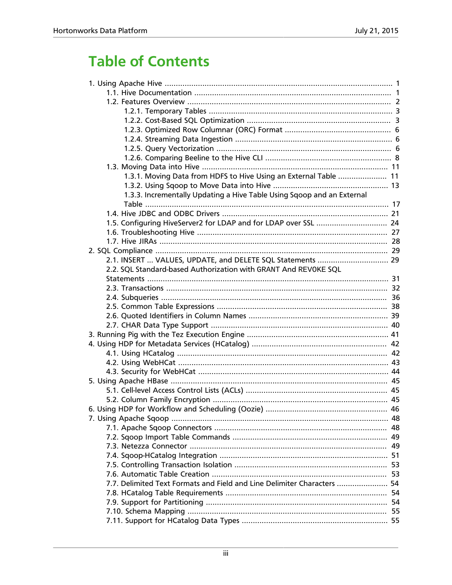## **Table of Contents**

| 1.3.1. Moving Data from HDFS to Hive Using an External Table  11        |  |
|-------------------------------------------------------------------------|--|
|                                                                         |  |
| 1.3.3. Incrementally Updating a Hive Table Using Sqoop and an External  |  |
|                                                                         |  |
|                                                                         |  |
|                                                                         |  |
|                                                                         |  |
|                                                                         |  |
|                                                                         |  |
| 2.1. INSERT  VALUES, UPDATE, and DELETE SQL Statements  29              |  |
| 2.2. SQL Standard-based Authorization with GRANT And REVOKE SQL         |  |
|                                                                         |  |
|                                                                         |  |
|                                                                         |  |
|                                                                         |  |
|                                                                         |  |
|                                                                         |  |
|                                                                         |  |
|                                                                         |  |
|                                                                         |  |
|                                                                         |  |
|                                                                         |  |
|                                                                         |  |
|                                                                         |  |
|                                                                         |  |
|                                                                         |  |
|                                                                         |  |
|                                                                         |  |
|                                                                         |  |
|                                                                         |  |
|                                                                         |  |
|                                                                         |  |
|                                                                         |  |
| 7.7. Delimited Text Formats and Field and Line Delimiter Characters  54 |  |
|                                                                         |  |
|                                                                         |  |
|                                                                         |  |
|                                                                         |  |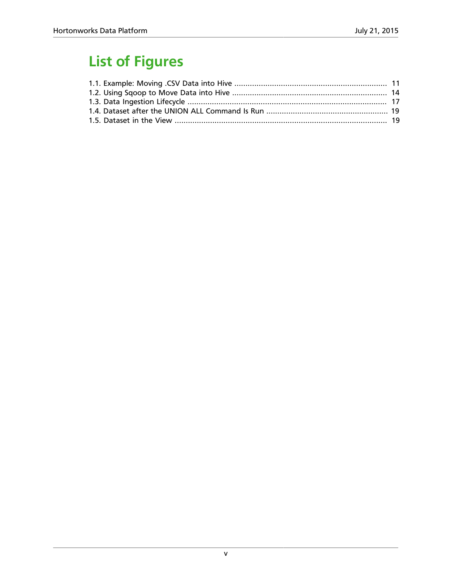## **List of Figures**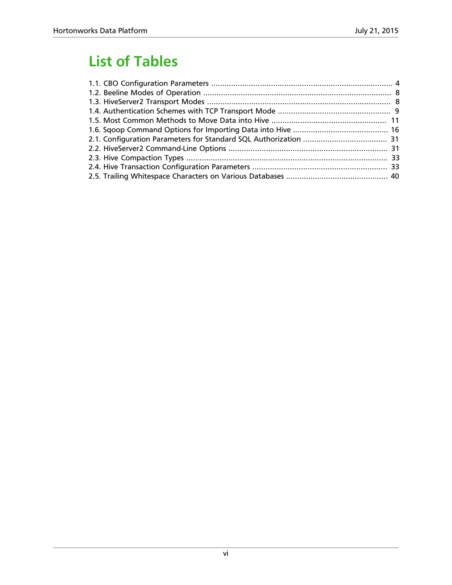## **List of Tables**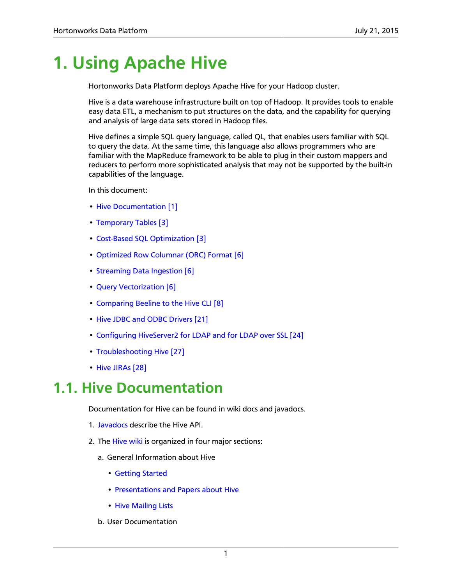## <span id="page-6-0"></span>**1. Using Apache Hive**

Hortonworks Data Platform deploys Apache Hive for your Hadoop cluster.

Hive is a data warehouse infrastructure built on top of Hadoop. It provides tools to enable easy data ETL, a mechanism to put structures on the data, and the capability for querying and analysis of large data sets stored in Hadoop files.

Hive defines a simple SQL query language, called QL, that enables users familiar with SQL to query the data. At the same time, this language also allows programmers who are familiar with the MapReduce framework to be able to plug in their custom mappers and reducers to perform more sophisticated analysis that may not be supported by the built-in capabilities of the language.

In this document:

- [Hive Documentation \[1\]](#page-6-1)
- [Temporary Tables \[3\]](#page-8-0)
- [Cost-Based SQL Optimization \[3\]](#page-8-1)
- [Optimized Row Columnar \(ORC\) Format \[6\]](#page-11-0)
- [Streaming Data Ingestion \[6\]](#page-11-1)
- [Query Vectorization \[6\]](#page-11-2)
- [Comparing Beeline to the Hive CLI \[8\]](#page-13-0)
- [Hive JDBC and ODBC Drivers \[21\]](#page-26-0)
- [Configuring HiveServer2 for LDAP and for LDAP over SSL \[24\]](#page-29-0)
- [Troubleshooting Hive \[27\]](#page-32-0)
- [Hive JIRAs \[28\]](#page-33-0)

## <span id="page-6-1"></span>**1.1. Hive Documentation**

Documentation for Hive can be found in wiki docs and javadocs.

- 1. [Javadocs](http://hive.apache.org/javadocs/r0.13.1/api/) describe the Hive API.
- 2. The [Hive wiki](https://cwiki.apache.org/confluence/display/Hive/Home) is organized in four major sections:
	- a. General Information about Hive
		- [Getting Started](https://cwiki.apache.org/confluence/display/Hive/GettingStarted)
		- [Presentations and Papers about Hive](https://cwiki.apache.org/confluence/display/Hive/Presentations)
		- [Hive Mailing Lists](http://hive.apache.org/mailing_lists.html#Users)
	- b. User Documentation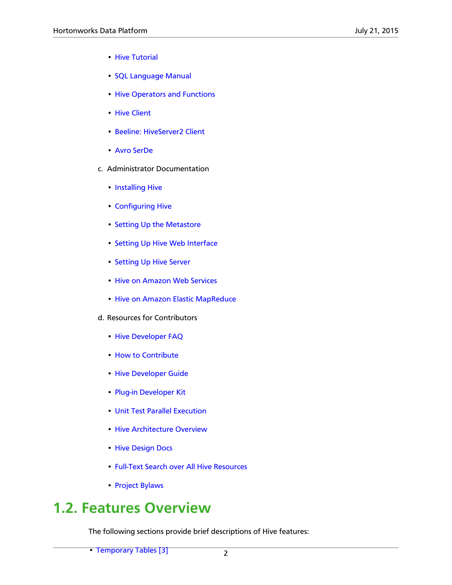- [Hive Tutorial](https://cwiki.apache.org/confluence/display/Hive/Tutorial)
- [SQL Language Manual](https://cwiki.apache.org/confluence/display/Hive/LanguageManual)
- [Hive Operators and Functions](https://cwiki.apache.org/confluence/display/Hive/OperatorsAndFunctions)
- [Hive Client](https://cwiki.apache.org/confluence/display/Hive/HiveClient)
- [Beeline: HiveServer2 Client](https://cwiki.apache.org/confluence/display/Hive/HiveServer2+Clients)
- [Avro SerDe](https://cwiki.apache.org/confluence/display/Hive/AvroSerDe)
- c. Administrator Documentation
	- [Installing Hive](https://cwiki.apache.org/confluence/display/Hive/AdminManual+Installation)
	- [Configuring Hive](https://cwiki.apache.org/confluence/display/Hive/AdminManual+Configuration)
	- [Setting Up the Metastore](https://cwiki.apache.org/confluence/display/Hive/AdminManual+MetastoreAdmin)
	- [Setting Up Hive Web Interface](https://cwiki.apache.org/confluence/display/Hive/HiveWebInterface)
	- [Setting Up Hive Server](https://cwiki.apache.org/confluence/display/Hive/AdminManual+SettingUpHiveServer)
	- [Hive on Amazon Web Services](https://cwiki.apache.org/confluence/display/Hive/HiveAws)
	- [Hive on Amazon Elastic MapReduce](https://cwiki.apache.org/confluence/display/Hive/HiveAmazonElasticMapReduce)
- d. Resources for Contributors
	- [Hive Developer FAQ](https://cwiki.apache.org/confluence/display/Hive/HiveDeveloperFAQ)
	- [How to Contribute](https://cwiki.apache.org/confluence/display/Hive/HowToContribute)
	- [Hive Developer Guide](https://cwiki.apache.org/confluence/display/Hive/DeveloperGuide)
	- [Plug-in Developer Kit](https://cwiki.apache.org/confluence/display/Hive/PluginDeveloperKit)
	- [Unit Test Parallel Execution](https://cwiki.apache.org/confluence/display/Hive/Unit+Test+Parallel+Execution)
	- [Hive Architecture Overview](https://cwiki.apache.org/confluence/display/Hive/Design)
	- [Hive Design Docs](https://cwiki.apache.org/confluence/display/Hive/DesignDocs)
	- [Full-Text Search over All Hive Resources](http://search-hadoop.com/Hive)
	- [Project Bylaws](https://cwiki.apache.org/confluence/display/Hive/Bylaws)

## <span id="page-7-0"></span>**1.2. Features Overview**

The following sections provide brief descriptions of Hive features:

• [Temporary Tables \[3\]](#page-8-0)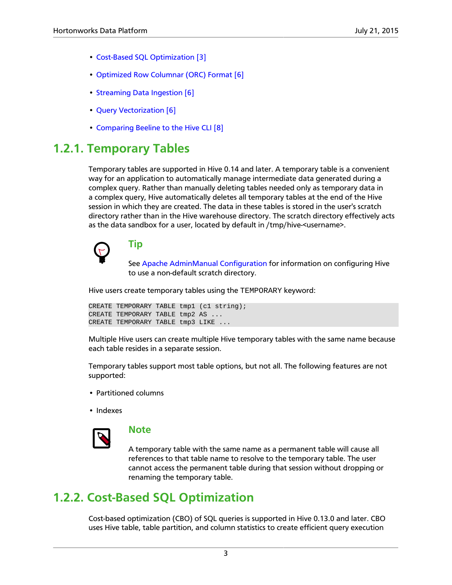- [Cost-Based SQL Optimization \[3\]](#page-8-1)
- [Optimized Row Columnar \(ORC\) Format \[6\]](#page-11-0)
- [Streaming Data Ingestion \[6\]](#page-11-1)
- [Query Vectorization \[6\]](#page-11-2)
- [Comparing Beeline to the Hive CLI \[8\]](#page-13-0)

## <span id="page-8-0"></span>**1.2.1. Temporary Tables**

Temporary tables are supported in Hive 0.14 and later. A temporary table is a convenient way for an application to automatically manage intermediate data generated during a complex query. Rather than manually deleting tables needed only as temporary data in a complex query, Hive automatically deletes all temporary tables at the end of the Hive session in which they are created. The data in these tables is stored in the user's scratch directory rather than in the Hive warehouse directory. The scratch directory effectively acts as the data sandbox for a user, located by default in /tmp/hive-<username>.



## **Tip**

See [Apache AdminManual Configuration](https://cwiki.apache.org/confluence/display/Hive/AdminManual+Configuration) for information on configuring Hive to use a non-default scratch directory.

Hive users create temporary tables using the TEMPORARY keyword:

```
CREATE TEMPORARY TABLE tmp1 (c1 string);
CREATE TEMPORARY TABLE tmp2 AS ...
CREATE TEMPORARY TABLE tmp3 LIKE ...
```
Multiple Hive users can create multiple Hive temporary tables with the same name because each table resides in a separate session.

Temporary tables support most table options, but not all. The following features are not supported:

- Partitioned columns
- Indexes



### **Note**

A temporary table with the same name as a permanent table will cause all references to that table name to resolve to the temporary table. The user cannot access the permanent table during that session without dropping or renaming the temporary table.

## <span id="page-8-1"></span>**1.2.2. Cost-Based SQL Optimization**

Cost-based optimization (CBO) of SQL queries is supported in Hive 0.13.0 and later. CBO uses Hive table, table partition, and column statistics to create efficient query execution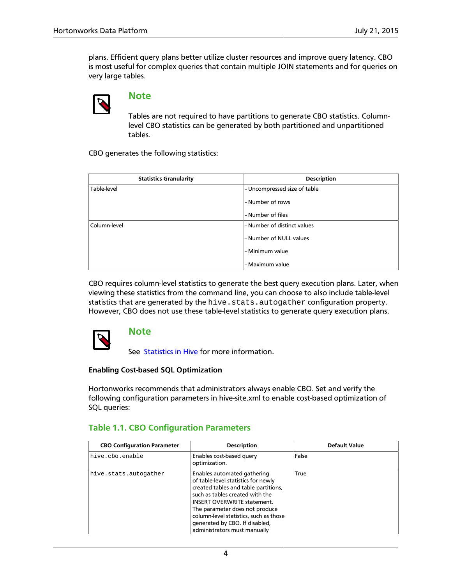plans. Efficient query plans better utilize cluster resources and improve query latency. CBO is most useful for complex queries that contain multiple JOIN statements and for queries on very large tables.



### **Note**

Tables are not required to have partitions to generate CBO statistics. Columnlevel CBO statistics can be generated by both partitioned and unpartitioned tables.

CBO generates the following statistics:

| <b>Statistics Granularity</b> | <b>Description</b>           |
|-------------------------------|------------------------------|
| Table-level                   | - Uncompressed size of table |
|                               | - Number of rows             |
|                               | - Number of files            |
| Column-level                  | - Number of distinct values  |
|                               | - Number of NULL values      |
|                               | - Minimum value              |
|                               | - Maximum value              |

CBO requires column-level statistics to generate the best query execution plans. Later, when viewing these statistics from the command line, you can choose to also include table-level statistics that are generated by the hive.stats.autogather configuration property. However, CBO does not use these table-level statistics to generate query execution plans.



### **Note**

See [Statistics in Hive](https://cwiki.apache.org/confluence/display/Hive/StatsDev) for more information.

#### **Enabling Cost-based SQL Optimization**

Hortonworks recommends that administrators always enable CBO. Set and verify the following configuration parameters in hive-site.xml to enable cost-based optimization of SQL queries:

### <span id="page-9-0"></span>**Table 1.1. CBO Configuration Parameters**

| <b>CBO Configuration Parameter</b> | <b>Description</b>                                                                                                                                                                                                                                                                                                                | <b>Default Value</b> |
|------------------------------------|-----------------------------------------------------------------------------------------------------------------------------------------------------------------------------------------------------------------------------------------------------------------------------------------------------------------------------------|----------------------|
| hive.cbo.enable                    | Enables cost-based query<br>optimization.                                                                                                                                                                                                                                                                                         | False                |
| hive.stats.autogather              | Enables automated gathering<br>of table-level statistics for newly<br>created tables and table partitions,<br>such as tables created with the<br><b>INSERT OVERWRITE statement.</b><br>The parameter does not produce<br>column-level statistics, such as those<br>generated by CBO. If disabled,<br>administrators must manually | True                 |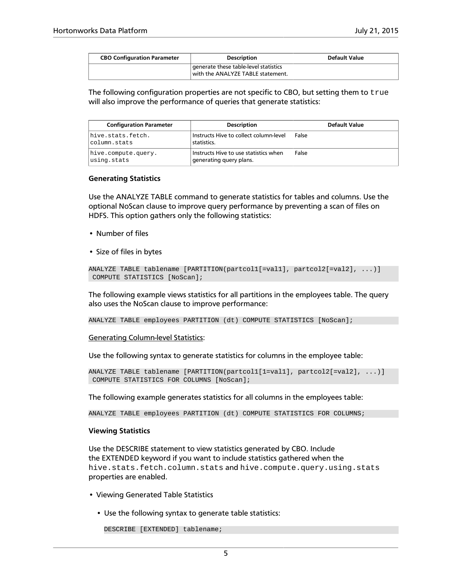| <b>CBO Configuration Parameter</b>                                         | <b>Description</b> | Default Value |
|----------------------------------------------------------------------------|--------------------|---------------|
| generate these table-level statistics<br>with the ANALYZE TABLE statement. |                    |               |

The following configuration properties are not specific to CBO, but setting them to  $true$ will also improve the performance of queries that generate statistics:

| <b>Configuration Parameter</b>     | <b>Description</b>                                               | Default Value |
|------------------------------------|------------------------------------------------------------------|---------------|
| hive.stats.fetch.<br>column.stats  | Instructs Hive to collect column-level<br>statistics.            | False         |
| hive.compute.query.<br>using.stats | Instructs Hive to use statistics when<br>generating query plans. | False         |

#### **Generating Statistics**

Use the ANALYZE TABLE command to generate statistics for tables and columns. Use the optional NoScan clause to improve query performance by preventing a scan of files on HDFS. This option gathers only the following statistics:

- Number of files
- Size of files in bytes

ANALYZE TABLE tablename [PARTITION(partcol1[=val1], partcol2[=val2], ...)] COMPUTE STATISTICS [NoScan];

The following example views statistics for all partitions in the employees table. The query also uses the NoScan clause to improve performance:

ANALYZE TABLE employees PARTITION (dt) COMPUTE STATISTICS [NoScan];

Generating Column-level Statistics:

Use the following syntax to generate statistics for columns in the employee table:

ANALYZE TABLE tablename [PARTITION(partcol1[1=val1], partcol2[=val2], ...)] COMPUTE STATISTICS FOR COLUMNS [NoScan];

The following example generates statistics for all columns in the employees table:

ANALYZE TABLE employees PARTITION (dt) COMPUTE STATISTICS FOR COLUMNS;

#### **Viewing Statistics**

Use the DESCRIBE statement to view statistics generated by CBO. Include the EXTENDED keyword if you want to include statistics gathered when the hive.stats.fetch.column.stats and hive.compute.query.using.stats properties are enabled.

- Viewing Generated Table Statistics
	- Use the following syntax to generate table statistics:

```
DESCRIBE [EXTENDED] tablename;
```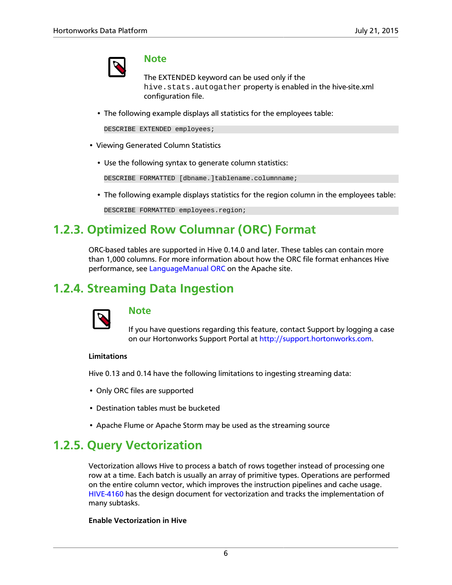

### **Note**

The EXTENDED keyword can be used only if the hive.stats.autogather property is enabled in the hive-site.xml configuration file.

• The following example displays all statistics for the employees table:

```
DESCRIBE EXTENDED employees;
```
- Viewing Generated Column Statistics
	- Use the following syntax to generate column statistics:

DESCRIBE FORMATTED [dbname.]tablename.columnname;

• The following example displays statistics for the region column in the employees table:

DESCRIBE FORMATTED employees.region;

## <span id="page-11-0"></span>**1.2.3. Optimized Row Columnar (ORC) Format**

ORC-based tables are supported in Hive 0.14.0 and later. These tables can contain more than 1,000 columns. For more information about how the ORC file format enhances Hive performance, see [LanguageManual ORC](https://cwiki.apache.org/confluence/display/Hive/LanguageManual+ORC) on the Apache site.

## <span id="page-11-1"></span>**1.2.4. Streaming Data Ingestion**



### **Note**

If you have questions regarding this feature, contact Support by logging a case on our Hortonworks Support Portal at [http://support.hortonworks.com.](https://support.hortonworks.com)

#### **Limitations**

Hive 0.13 and 0.14 have the following limitations to ingesting streaming data:

- Only ORC files are supported
- Destination tables must be bucketed
- Apache Flume or Apache Storm may be used as the streaming source

## <span id="page-11-2"></span>**1.2.5. Query Vectorization**

Vectorization allows Hive to process a batch of rows together instead of processing one row at a time. Each batch is usually an array of primitive types. Operations are performed on the entire column vector, which improves the instruction pipelines and cache usage. [HIVE-4160](https://issues.apache.org/jira/browse/HIVE-4160) has the design document for vectorization and tracks the implementation of many subtasks.

### **Enable Vectorization in Hive**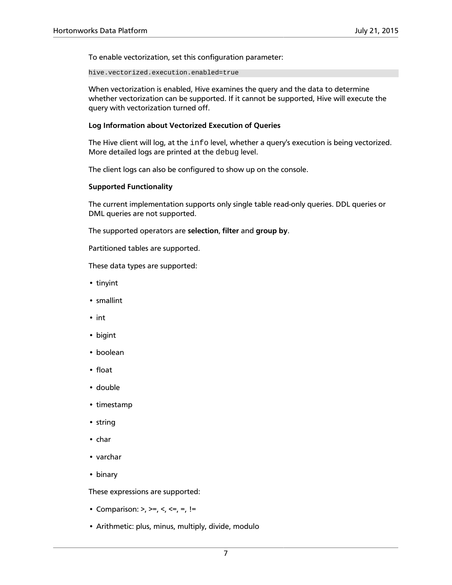To enable vectorization, set this configuration parameter:

hive.vectorized.execution.enabled=true

When vectorization is enabled, Hive examines the query and the data to determine whether vectorization can be supported. If it cannot be supported, Hive will execute the query with vectorization turned off.

#### **Log Information about Vectorized Execution of Queries**

The Hive client will log, at the info level, whether a query's execution is being vectorized. More detailed logs are printed at the debug level.

The client logs can also be configured to show up on the console.

#### **Supported Functionality**

The current implementation supports only single table read-only queries. DDL queries or DML queries are not supported.

The supported operators are **selection**, **filter** and **group by**.

Partitioned tables are supported.

These data types are supported:

- tinyint
- smallint
- int
- bigint
- boolean
- float
- double
- timestamp
- string
- char
- varchar
- binary

These expressions are supported:

- Comparison:  $>$ ,  $>$ =,  $<$ ,  $<$ =, =, !=
- Arithmetic: plus, minus, multiply, divide, modulo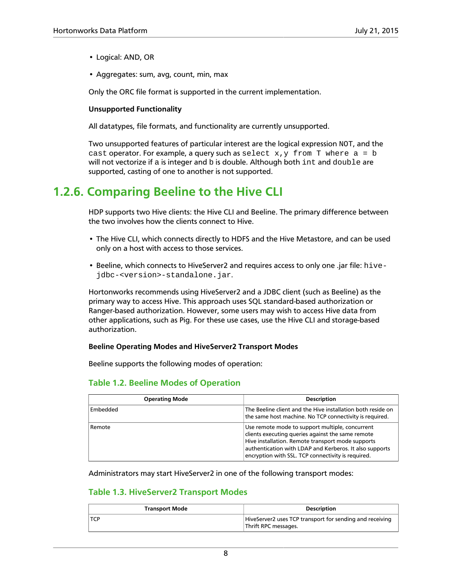- Logical: AND, OR
- Aggregates: sum, avg, count, min, max

Only the ORC file format is supported in the current implementation.

### **Unsupported Functionality**

All datatypes, file formats, and functionality are currently unsupported.

Two unsupported features of particular interest are the logical expression NOT, and the cast operator. For example, a query such as select  $x, y$  from T where  $a = b$ will not vectorize if a is integer and b is double. Although both int and double are supported, casting of one to another is not supported.

## <span id="page-13-0"></span>**1.2.6. Comparing Beeline to the Hive CLI**

HDP supports two Hive clients: the Hive CLI and Beeline. The primary difference between the two involves how the clients connect to Hive.

- The Hive CLI, which connects directly to HDFS and the Hive Metastore, and can be used only on a host with access to those services.
- Beeline, which connects to HiveServer2 and requires access to only one .jar file: hivejdbc-<version>-standalone.jar.

Hortonworks recommends using HiveServer2 and a JDBC client (such as Beeline) as the primary way to access Hive. This approach uses SQL standard-based authorization or Ranger-based authorization. However, some users may wish to access Hive data from other applications, such as Pig. For these use cases, use the Hive CLI and storage-based authorization.

#### **Beeline Operating Modes and HiveServer2 Transport Modes**

Beeline supports the following modes of operation:

### <span id="page-13-1"></span>**Table 1.2. Beeline Modes of Operation**

| <b>Operating Mode</b> | <b>Description</b>                                                                                                                                                                                                                                                         |
|-----------------------|----------------------------------------------------------------------------------------------------------------------------------------------------------------------------------------------------------------------------------------------------------------------------|
| Embedded              | The Beeline client and the Hive installation both reside on<br>the same host machine. No TCP connectivity is required.                                                                                                                                                     |
| Remote                | Use remote mode to support multiple, concurrent<br>clients executing queries against the same remote<br>Hive installation. Remote transport mode supports<br>authentication with LDAP and Kerberos. It also supports<br>encryption with SSL. TCP connectivity is required. |

<span id="page-13-2"></span>Administrators may start HiveServer2 in one of the following transport modes:

### **Table 1.3. HiveServer2 Transport Modes**

| <b>Transport Mode</b> | <b>Description</b>                                                               |
|-----------------------|----------------------------------------------------------------------------------|
| $\mathsf{TCP}$        | HiveServer2 uses TCP transport for sending and receiving<br>Thrift RPC messages. |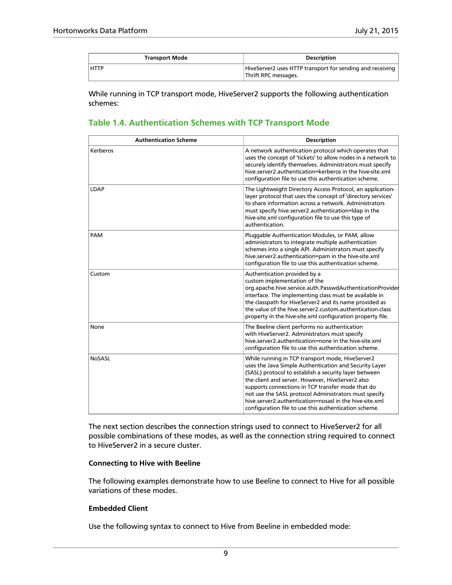| <b>Transport Mode</b> | <b>Description</b>                                                                |
|-----------------------|-----------------------------------------------------------------------------------|
| <b>HTTP</b>           | HiveServer2 uses HTTP transport for sending and receiving<br>Thrift RPC messages. |

While running in TCP transport mode, HiveServer2 supports the following authentication schemes:

### <span id="page-14-0"></span>**Table 1.4. Authentication Schemes with TCP Transport Mode**

| <b>Authentication Scheme</b> | <b>Description</b>                                                                                                                                                                                                                                                                                                                                                                                                                                        |
|------------------------------|-----------------------------------------------------------------------------------------------------------------------------------------------------------------------------------------------------------------------------------------------------------------------------------------------------------------------------------------------------------------------------------------------------------------------------------------------------------|
| Kerberos                     | A network authentication protocol which operates that<br>uses the concept of 'tickets' to allow nodes in a network to<br>securely identify themselves. Administrators must specify<br>hive.server2.authentication=kerberos in the hive-site.xml<br>configuration file to use this authentication scheme.                                                                                                                                                  |
| LDAP                         | The Lightweight Directory Access Protocol, an application-<br>layer protocol that uses the concept of 'directory services'<br>to share information across a network. Administrators<br>must specify hive.server2.authentication=Idap in the<br>hive-site.xml configuration file to use this type of<br>authentication.                                                                                                                                    |
| PAM                          | Pluggable Authentication Modules, or PAM, allow<br>administrators to integrate multiple authentication<br>schemes into a single API. Administrators must specify<br>hive.server2.authentication=pam in the hive-site.xml<br>configuration file to use this authentication scheme.                                                                                                                                                                         |
| Custom                       | Authentication provided by a<br>custom implementation of the<br>org.apache.hive.service.auth.PasswdAuthenticationProvider<br>interface. The implementing class must be available in<br>the classpath for HiveServer2 and its name provided as<br>the value of the hive.server2.custom.authentication.class<br>property in the hive-site.xml configuration property file.                                                                                  |
| None                         | The Beeline client performs no authentication<br>with HiveServer2. Administrators must specify<br>hive server2 authentication=none in the hive-site xml<br>configuration file to use this authentication scheme.                                                                                                                                                                                                                                          |
| <b>NoSASL</b>                | While running in TCP transport mode, HiveServer2<br>uses the Java Simple Authentication and Security Layer<br>(SASL) protocol to establish a security layer between<br>the client and server. However, HiveServer2 also<br>supports connections in TCP transfer mode that do<br>not use the SASL protocol Administrators must specify<br>hive server2 authentication=nosasl in the hive-site xml<br>configuration file to use this authentication scheme. |

The next section describes the connection strings used to connect to HiveServer2 for all possible combinations of these modes, as well as the connection string required to connect to HiveServer2 in a secure cluster.

### **Connecting to Hive with Beeline**

The following examples demonstrate how to use Beeline to connect to Hive for all possible variations of these modes.

### **Embedded Client**

Use the following syntax to connect to Hive from Beeline in embedded mode: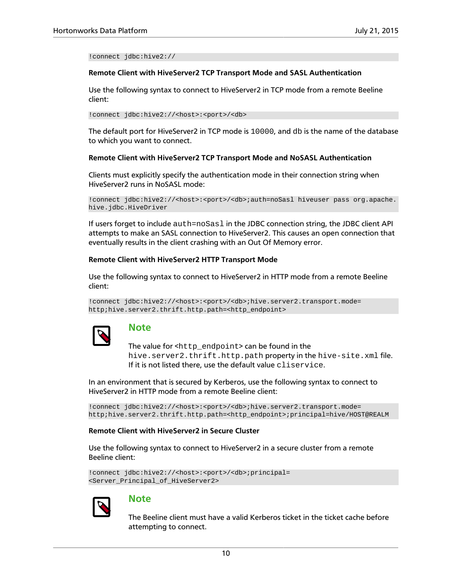!connect jdbc:hive2://

#### **Remote Client with HiveServer2 TCP Transport Mode and SASL Authentication**

Use the following syntax to connect to HiveServer2 in TCP mode from a remote Beeline client:

!connect jdbc:hive2://<host>:<port>/<db>

The default port for HiveServer2 in TCP mode is 10000, and db is the name of the database to which you want to connect.

#### **Remote Client with HiveServer2 TCP Transport Mode and NoSASL Authentication**

Clients must explicitly specify the authentication mode in their connection string when HiveServer2 runs in NoSASL mode:

```
!connect jdbc:hive2://<host>:<port>/<db>;auth=noSasl hiveuser pass org.apache.
hive.jdbc.HiveDriver
```
If users forget to include auth=noSasl in the JDBC connection string, the JDBC client API attempts to make an SASL connection to HiveServer2. This causes an open connection that eventually results in the client crashing with an Out Of Memory error.

#### **Remote Client with HiveServer2 HTTP Transport Mode**

Use the following syntax to connect to HiveServer2 in HTTP mode from a remote Beeline client:

```
!connect jdbc:hive2://<host>:<port>/<db>;hive.server2.transport.mode=
http;hive.server2.thrift.http.path=<http_endpoint>
```


### **Note**

The value for  $\text{thtp\_endpoint}$  can be found in the hive.server2.thrift.http.path property in the hive-site.xml file. If it is not listed there, use the default value cliservice.

In an environment that is secured by Kerberos, use the following syntax to connect to HiveServer2 in HTTP mode from a remote Beeline client:

```
!connect jdbc:hive2://<host>:<port>/<db>;hive.server2.transport.mode=
http;hive.server2.thrift.http.path=<http_endpoint>;principal=hive/HOST@REALM
```
#### **Remote Client with HiveServer2 in Secure Cluster**

Use the following syntax to connect to HiveServer2 in a secure cluster from a remote Beeline client:

```
!connect jdbc:hive2://<host>:<port>/<db>;principal=
<Server_Principal_of_HiveServer2>
```


### **Note**

The Beeline client must have a valid Kerberos ticket in the ticket cache before attempting to connect.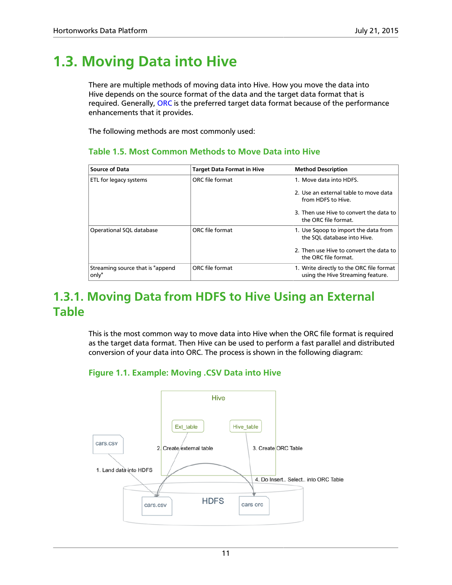## <span id="page-16-0"></span>**1.3. Moving Data into Hive**

There are multiple methods of moving data into Hive. How you move the data into Hive depends on the source format of the data and the target data format that is required. Generally, [ORC](#page-11-0) is the preferred target data format because of the performance enhancements that it provides.

<span id="page-16-3"></span>The following methods are most commonly used:

### **Table 1.5. Most Common Methods to Move Data into Hive**

| <b>Source of Data</b>                      | <b>Target Data Format in Hive</b> | <b>Method Description</b>                                                     |
|--------------------------------------------|-----------------------------------|-------------------------------------------------------------------------------|
| ETL for legacy systems                     | ORC file format                   | 1. Move data into HDFS.                                                       |
|                                            |                                   | 2. Use an external table to move data<br>from HDFS to Hive.                   |
|                                            |                                   | 3. Then use Hive to convert the data to<br>the ORC file format.               |
| Operational SQL database                   | ORC file format                   | 1. Use Sqoop to import the data from<br>the SQL database into Hive.           |
|                                            |                                   | 2. Then use Hive to convert the data to<br>the ORC file format.               |
| Streaming source that is "append"<br>only" | ORC file format                   | 1. Write directly to the ORC file format<br>using the Hive Streaming feature. |

## <span id="page-16-1"></span>**1.3.1. Moving Data from HDFS to Hive Using an External Table**

This is the most common way to move data into Hive when the ORC file format is required as the target data format. Then Hive can be used to perform a fast parallel and distributed conversion of your data into ORC. The process is shown in the following diagram:

### <span id="page-16-2"></span>**Figure 1.1. Example: Moving .CSV Data into Hive**

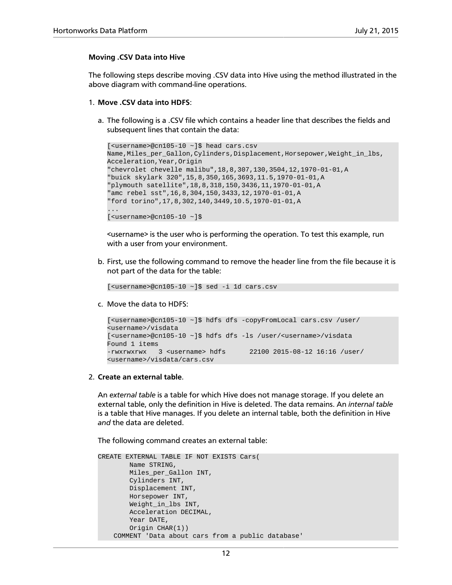### **Moving .CSV Data into Hive**

The following steps describe moving .CSV data into Hive using the method illustrated in the above diagram with command-line operations.

- 1. **Move .CSV data into HDFS**:
	- a. The following is a .CSV file which contains a header line that describes the fields and subsequent lines that contain the data:

```
[<username>@cn105-10 ~]$ head cars.csv
Name,Miles_per_Gallon,Cylinders,Displacement,Horsepower,Weight_in_lbs,
Acceleration,Year,Origin
"chevrolet chevelle malibu",18,8,307,130,3504,12,1970-01-01,A
"buick skylark 320",15,8,350,165,3693,11.5,1970-01-01,A
"plymouth satellite",18,8,318,150,3436,11,1970-01-01,A
"amc rebel sst",16,8,304,150,3433,12,1970-01-01,A
"ford torino",17,8,302,140,3449,10.5,1970-01-01,A
...
[ <username>@cn105-10 ~]$
```
<username> is the user who is performing the operation. To test this example, run with a user from your environment.

b. First, use the following command to remove the header line from the file because it is not part of the data for the table:

[<username>@cn105-10 ~]\$ sed -i 1d cars.csv

c. Move the data to HDFS:

```
[<username>@cn105-10 ~]$ hdfs dfs -copyFromLocal cars.csv /user/
<username>/visdata
[<username>@cn105-10 ~]$ hdfs dfs -ls /user/<username>/visdata
Found 1 items
-rwxrwxrwx 3 <username> hdfs 22100 2015-08-12 16:16 /user/
<username>/visdata/cars.csv
```
2. **Create an external table**.

An *external table* is a table for which Hive does not manage storage. If you delete an external table, only the definition in Hive is deleted. The data remains. An *internal table* is a table that Hive manages. If you delete an internal table, both the definition in Hive *and* the data are deleted.

The following command creates an external table:

```
CREATE EXTERNAL TABLE IF NOT EXISTS Cars(
         Name STRING, 
         Miles_per_Gallon INT,
         Cylinders INT,
         Displacement INT,
         Horsepower INT, 
         Weight_in_lbs INT,
         Acceleration DECIMAL,
        Year DATE,
         Origin CHAR(1))
     COMMENT 'Data about cars from a public database'
```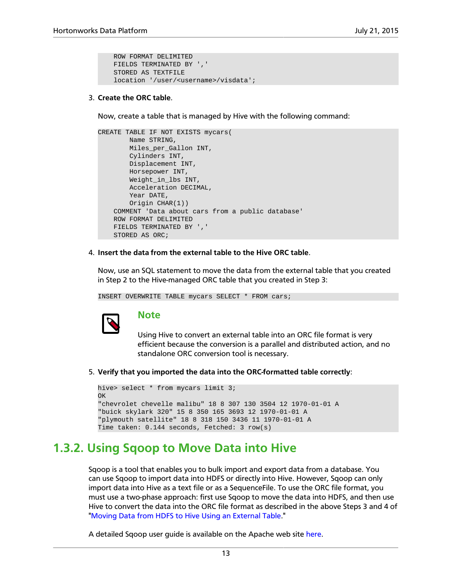```
 ROW FORMAT DELIMITED
 FIELDS TERMINATED BY ','
 STORED AS TEXTFILE
 location '/user/<username>/visdata';
```
### 3. **Create the ORC table**.

Now, create a table that is managed by Hive with the following command:

```
CREATE TABLE IF NOT EXISTS mycars(
        Name STRING, 
        Miles_per_Gallon INT,
        Cylinders INT,
        Displacement INT,
        Horsepower INT, 
        Weight_in_lbs INT,
        Acceleration DECIMAL,
        Year DATE,
        Origin CHAR(1))
    COMMENT 'Data about cars from a public database'
     ROW FORMAT DELIMITED
     FIELDS TERMINATED BY ','
    STORED AS ORC;
```
4. **Insert the data from the external table to the Hive ORC table**.

Now, use an SQL statement to move the data from the external table that you created in Step 2 to the Hive-managed ORC table that you created in Step 3:

INSERT OVERWRITE TABLE mycars SELECT \* FROM cars;



### **Note**

Using Hive to convert an external table into an ORC file format is very efficient because the conversion is a parallel and distributed action, and no standalone ORC conversion tool is necessary.

5. **Verify that you imported the data into the ORC-formatted table correctly**:

```
hive> select * from mycars limit 3;
OK
"chevrolet chevelle malibu" 18 8 307 130 3504 12 1970-01-01 A
"buick skylark 320" 15 8 350 165 3693 12 1970-01-01 A
"plymouth satellite" 18 8 318 150 3436 11 1970-01-01 A
Time taken: 0.144 seconds, Fetched: 3 row(s)
```
## <span id="page-18-0"></span>**1.3.2. Using Sqoop to Move Data into Hive**

Sqoop is a tool that enables you to bulk import and export data from a database. You can use Sqoop to import data into HDFS or directly into Hive. However, Sqoop can only import data into Hive as a text file or as a SequenceFile. To use the ORC file format, you must use a two-phase approach: first use Sqoop to move the data into HDFS, and then use Hive to convert the data into the ORC file format as described in the above Steps 3 and 4 of ["Moving Data from HDFS to Hive Using an External Table.](#page-16-1)"

A detailed Sqoop user quide is available on the Apache web site [here](https://sqoop.apache.org/docs/1.4.6/SqoopUserGuide.html).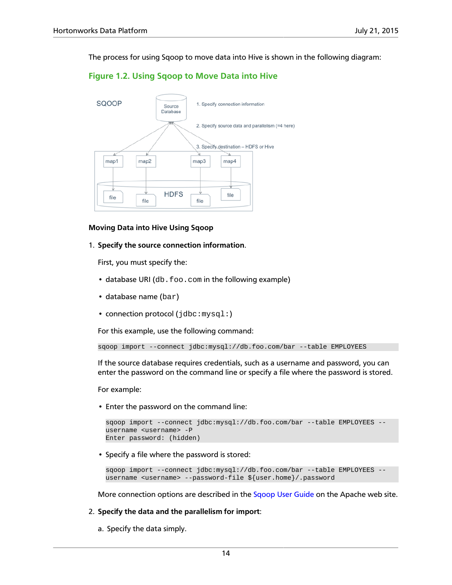<span id="page-19-0"></span>The process for using Sqoop to move data into Hive is shown in the following diagram:

### **Figure 1.2. Using Sqoop to Move Data into Hive**



#### **Moving Data into Hive Using Sqoop**

1. **Specify the source connection information**.

First, you must specify the:

- database URI (db.foo.com in the following example)
- database name (bar)
- connection protocol (jdbc: mysql:)

For this example, use the following command:

```
sqoop import --connect jdbc:mysql://db.foo.com/bar --table EMPLOYEES
```
If the source database requires credentials, such as a username and password, you can enter the password on the command line or specify a file where the password is stored.

For example:

• Enter the password on the command line:

```
sqoop import --connect jdbc:mysql://db.foo.com/bar --table EMPLOYEES --
username <username> -P
Enter password: (hidden)
```
• Specify a file where the password is stored:

```
sqoop import --connect jdbc:mysql://db.foo.com/bar --table EMPLOYEES --
username <username> --password-file ${user.home}/.password
```
More connection options are described in the [Sqoop User Guide](https://sqoop.apache.org/docs/1.4.6/SqoopUserGuide.html#_connecting_to_a_database_server) on the Apache web site.

#### 2. **Specify the data and the parallelism for import**:

a. Specify the data simply.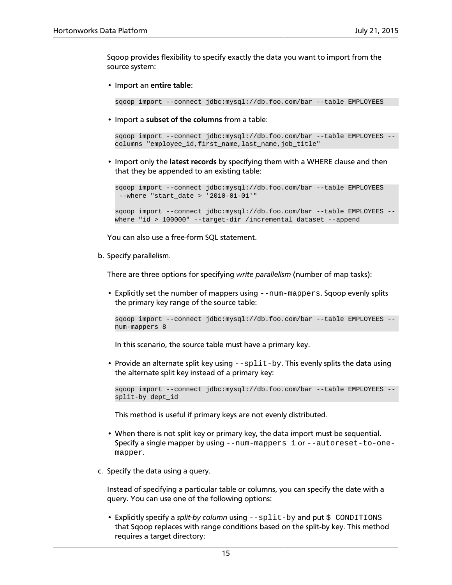Sqoop provides flexibility to specify exactly the data you want to import from the source system:

• Import an **entire table**:

```
sqoop import --connect jdbc:mysql://db.foo.com/bar --table EMPLOYEES
```
• Import a **subset of the columns** from a table:

```
sqoop import --connect jdbc:mysql://db.foo.com/bar --table EMPLOYEES --
columns "employee_id,first_name,last_name,job_title"
```
• Import only the **latest records** by specifying them with a WHERE clause and then that they be appended to an existing table:

```
sqoop import --connect jdbc:mysql://db.foo.com/bar --table EMPLOYEES 
 --where "start_date > '2010-01-01'"
sqoop import --connect jdbc:mysql://db.foo.com/bar --table EMPLOYEES -
where "id > 100000" --target-dir /incremental_dataset --append
```
You can also use a free-form SQL statement.

b. Specify parallelism.

There are three options for specifying *write parallelism* (number of map tasks):

• Explicitly set the number of mappers using --num-mappers. Sqoop evenly splits the primary key range of the source table:

```
sqoop import --connect jdbc:mysql://db.foo.com/bar --table EMPLOYEES --
num-mappers 8
```
In this scenario, the source table must have a primary key.

• Provide an alternate split key using  $\texttt{-split}$  -by. This evenly splits the data using the alternate split key instead of a primary key:

```
sqoop import --connect jdbc:mysql://db.foo.com/bar --table EMPLOYEES --
split-by dept_id
```
This method is useful if primary keys are not evenly distributed.

- When there is not split key or primary key, the data import must be sequential. Specify a single mapper by using --num-mappers 1 or --autoreset-to-onemapper.
- c. Specify the data using a query.

Instead of specifying a particular table or columns, you can specify the date with a query. You can use one of the following options:

• Explicitly specify a *split-by column* using  $--split-by$  and put  $$$  CONDITIONS that Sqoop replaces with range conditions based on the split-by key. This method requires a target directory: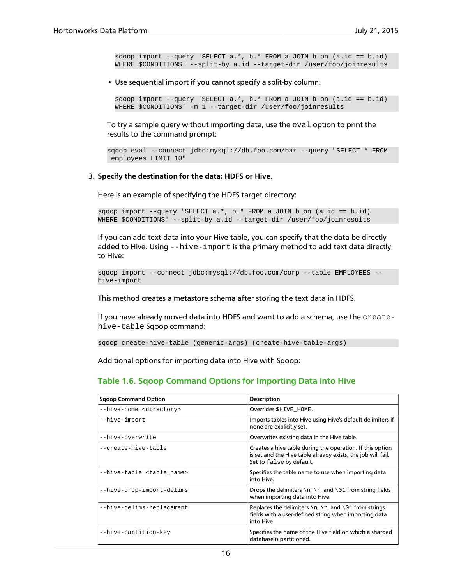```
sqoop import --query 'SELECT a.*, b.* FROM a JOIN b on (a.id == b.id)WHERE $CONDITIONS' --split-by a.id --target-dir /user/foo/joinresults
```
• Use sequential import if you cannot specify a split-by column:

```
sqoop import --query 'SELECT a.*, b.* FROM a JOIN b on (a.id == b.id)WHERE $CONDITIONS' -m 1 --target-dir /user/foo/joinresults
```
To try a sample query without importing data, use the eval option to print the results to the command prompt:

```
sqoop eval --connect jdbc:mysql://db.foo.com/bar --query "SELECT * FROM
 employees LIMIT 10"
```
#### 3. **Specify the destination for the data: HDFS or Hive**.

Here is an example of specifying the HDFS target directory:

```
sqoop import --query 'SELECT a.*, b.* FROM a JOIN b on (a.id == b.id) 
WHERE $CONDITIONS' --split-by a.id --target-dir /user/foo/joinresults
```
If you can add text data into your Hive table, you can specify that the data be directly added to Hive. Using --hive-import is the primary method to add text data directly to Hive:

```
sqoop import --connect jdbc:mysql://db.foo.com/corp --table EMPLOYEES --
hive-import
```
This method creates a metastore schema after storing the text data in HDFS.

If you have already moved data into HDFS and want to add a schema, use the createhive-table Sqoop command:

sqoop create-hive-table (generic-args) (create-hive-table-args)

Additional options for importing data into Hive with Sqoop:

### <span id="page-21-0"></span>**Table 1.6. Sqoop Command Options for Importing Data into Hive**

| <b>Sgoop Command Option</b>          | <b>Description</b>                                                                                                                                    |
|--------------------------------------|-------------------------------------------------------------------------------------------------------------------------------------------------------|
| --hive-home <directory></directory>  | Overrides SHIVE HOME.                                                                                                                                 |
| --hive-import                        | Imports tables into Hive using Hive's default delimiters if<br>none are explicitly set.                                                               |
| --hive-overwrite                     | Overwrites existing data in the Hive table.                                                                                                           |
| --create-hive-table                  | Creates a hive table during the operation. If this option<br>is set and the Hive table already exists, the job will fail.<br>Set to false by default. |
| --hive-table <table name=""></table> | Specifies the table name to use when importing data<br>into Hive.                                                                                     |
| --hive-drop-import-delims            | Drops the delimiters $\n\cdot r$ , and $\01$ from string fields<br>when importing data into Hive.                                                     |
| --hive-delims-replacement            | Replaces the delimiters $\n\cdot x$ , and $\cdot 01$ from strings<br>fields with a user-defined string when importing data<br>into Hive.              |
| --hive-partition-key                 | Specifies the name of the Hive field on which a sharded<br>database is partitioned.                                                                   |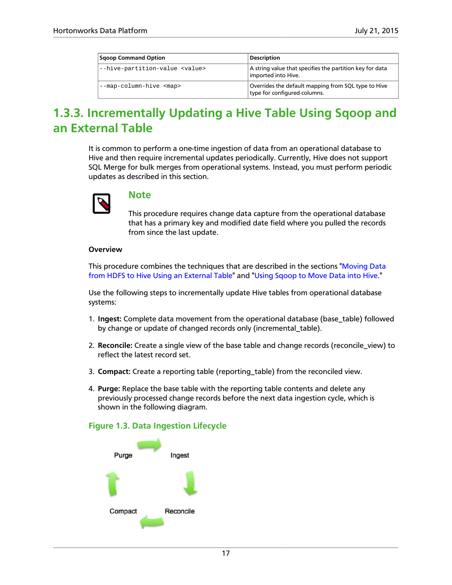| <b>Sgoop Command Option</b>            | <b>Description</b>                                                                  |
|----------------------------------------|-------------------------------------------------------------------------------------|
| --hive-partition-value <value></value> | A string value that specifies the partition key for data<br>imported into Hive.     |
| --map-column-hive <map></map>          | Overrides the default mapping from SQL type to Hive<br>type for configured columns. |

## <span id="page-22-0"></span>**1.3.3. Incrementally Updating a Hive Table Using Sqoop and an External Table**

It is common to perform a one-time ingestion of data from an operational database to Hive and then require incremental updates periodically. Currently, Hive does not support SQL Merge for bulk merges from operational systems. Instead, you must perform periodic updates as described in this section.



### **Note**

This procedure requires change data capture from the operational database that has a primary key and modified date field where you pulled the records from since the last update.

### **Overview**

This procedure combines the techniques that are described in the sections ["Moving Data](#page-16-1) [from HDFS to Hive Using an External Table"](#page-16-1) and "[Using Sqoop to Move Data into Hive.](#page-18-0)"

Use the following steps to incrementally update Hive tables from operational database systems:

- 1. **Ingest:** Complete data movement from the operational database (base\_table) followed by change or update of changed records only (incremental\_table).
- 2. **Reconcile:** Create a single view of the base table and change records (reconcile\_view) to reflect the latest record set.
- 3. **Compact:** Create a reporting table (reporting\_table) from the reconciled view.
- 4. **Purge:** Replace the base table with the reporting table contents and delete any previously processed change records before the next data ingestion cycle, which is shown in the following diagram.

### <span id="page-22-1"></span>**Figure 1.3. Data Ingestion Lifecycle**

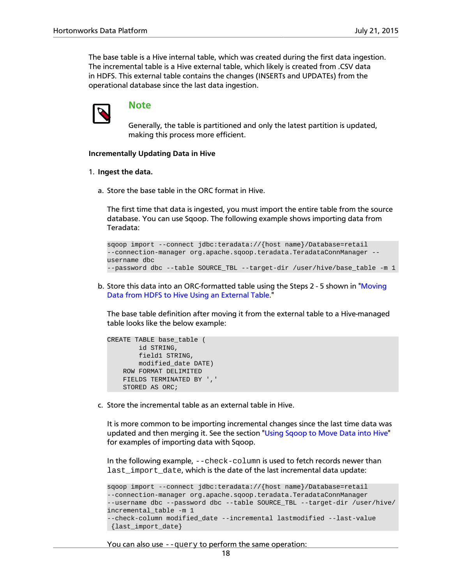The base table is a Hive internal table, which was created during the first data ingestion. The incremental table is a Hive external table, which likely is created from .CSV data in HDFS. This external table contains the changes (INSERTs and UPDATEs) from the operational database since the last data ingestion.



### **Note**

Generally, the table is partitioned and only the latest partition is updated, making this process more efficient.

#### **Incrementally Updating Data in Hive**

#### 1. **Ingest the data.**

a. Store the base table in the ORC format in Hive.

The first time that data is ingested, you must import the entire table from the source database. You can use Sqoop. The following example shows importing data from Teradata:

```
sqoop import --connect jdbc:teradata://{host name}/Database=retail
--connection-manager org.apache.sqoop.teradata.TeradataConnManager --
username dbc 
--password dbc --table SOURCE_TBL --target-dir /user/hive/base_table -m 1
```
b. Store this data into an ORC-formatted table using the Steps 2 - 5 shown in ["Moving](#page-16-1) [Data from HDFS to Hive Using an External Table.](#page-16-1)"

The base table definition after moving it from the external table to a Hive-managed table looks like the below example:

```
CREATE TABLE base_table (
         id STRING,
        field1 STRING,
        modified_date DATE)
     ROW FORMAT DELIMITED
     FIELDS TERMINATED BY ','
     STORED AS ORC;
```
c. Store the incremental table as an external table in Hive.

It is more common to be importing incremental changes since the last time data was updated and then merging it. See the section "[Using Sqoop to Move Data into Hive"](#page-18-0) for examples of importing data with Sqoop.

In the following example, --check-column is used to fetch records newer than last\_import\_date, which is the date of the last incremental data update:

```
sqoop import --connect jdbc:teradata://{host name}/Database=retail 
--connection-manager org.apache.sqoop.teradata.TeradataConnManager 
--username dbc --password dbc --table SOURCE_TBL --target-dir /user/hive/
incremental_table -m 1 
 --check-column modified_date --incremental lastmodified --last-value
 {last_import_date}
```
You can also use --query to perform the same operation: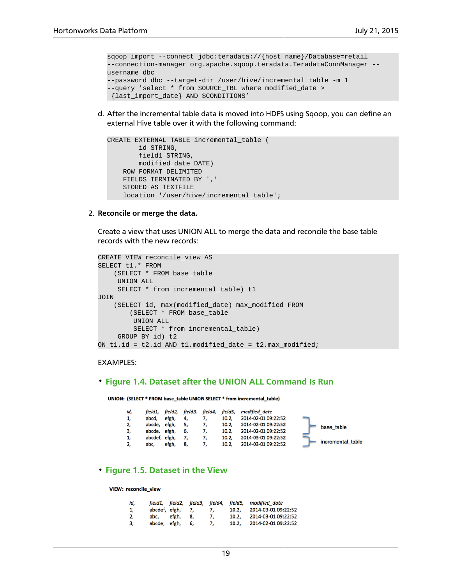```
sqoop import --connect jdbc:teradata://{host name}/Database=retail 
--connection-manager org.apache.sqoop.teradata.TeradataConnManager --
username dbc 
--password dbc --target-dir /user/hive/incremental_table -m 1 
--query 'select * from SOURCE_TBL where modified_date >
 {last_import_date} AND $CONDITIONS'
```
d. After the incremental table data is moved into HDFS using Sqoop, you can define an external Hive table over it with the following command:

```
CREATE EXTERNAL TABLE incremental_table (
         id STRING,
         field1 STRING,
         modified_date DATE)
     ROW FORMAT DELIMITED
     FIELDS TERMINATED BY ','
     STORED AS TEXTFILE
     location '/user/hive/incremental_table';
```
2. **Reconcile or merge the data.**

Create a view that uses UNION ALL to merge the data and reconcile the base table records with the new records:

```
CREATE VIEW reconcile_view AS
SELECT t1.* FROM
   (SELECT * FROM base table
     UNION ALL
     SELECT * from incremental_table) t1
JOIN
     (SELECT id, max(modified_date) max_modified FROM
         (SELECT * FROM base_table
         UNION ALL
         SELECT * from incremental_table)
     GROUP BY id) t2
ON t1.id = t2.id AND t1.modified_date = t2.max_modified;
```
#### EXAMPLES:

#### <span id="page-24-0"></span>• **Figure 1.4. Dataset after the UNION ALL Command Is Run**

UNION: (SELECT \* FROM base\_table UNION SELECT \* from incremental\_table)

| id, | field1.       | field2. | field3, | field4, | field5, | modified date       |                   |
|-----|---------------|---------|---------|---------|---------|---------------------|-------------------|
| 1,  | abcd,         | efgh,   | 4.      |         | 10.2,   | 2014-02-01 09:22:52 |                   |
| 2,  | abcde.        | efgh.   |         |         | 10.2.   | 2014-02-01 09:22:52 | base table        |
| 3,  | abcde, efgh,  |         | 6,      |         | 10.2.   | 2014-02-01 09:22:52 |                   |
| 1,  | abcdef, efgh, |         |         |         | 10.2,   | 2014-03-01 09:22:52 |                   |
| 2,  | abc.          | efgh,   | 8,      |         | 10.2,   | 2014-03-01 09:22:52 | incremental table |

### <span id="page-24-1"></span>• **Figure 1.5. Dataset in the View**

VIEW: reconcile\_view

| id. |               |       |    |    | field1, field2, field3, field4, field5, | modified date       |
|-----|---------------|-------|----|----|-----------------------------------------|---------------------|
| 1.  | abcdef, efgh, |       |    | 7. | 10.2.                                   | 2014-03-01 09:22:52 |
| 2,  | abc,          | efgh, | 8. | 7. | 10.2.                                   | 2014-03-01 09:22:52 |
| 3,  | abcde, efgh,  |       | 6. |    | 10.2,                                   | 2014-02-01 09:22:52 |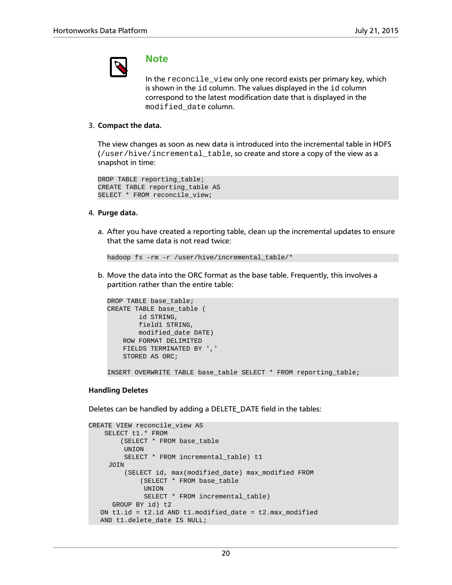

### **Note**

In the reconcile\_view only one record exists per primary key, which is shown in the id column. The values displayed in the id column correspond to the latest modification date that is displayed in the modified\_date column.

### 3. **Compact the data.**

The view changes as soon as new data is introduced into the incremental table in HDFS (/user/hive/incremental\_table, so create and store a copy of the view as a snapshot in time:

```
DROP TABLE reporting_table;
CREATE TABLE reporting_table AS
SELECT * FROM reconcile_view;
```
### 4. **Purge data.**

a. After you have created a reporting table, clean up the incremental updates to ensure that the same data is not read twice:

```
hadoop fs –rm –r /user/hive/incremental_table/*
```
b. Move the data into the ORC format as the base table. Frequently, this involves a partition rather than the entire table:

```
DROP TABLE base_table;
CREATE TABLE base_table (
        id STRING,
        field1 STRING,
        modified_date DATE)
    ROW FORMAT DELIMITED
    FIELDS TERMINATED BY ','
    STORED AS ORC;
INSERT OVERWRITE TABLE base_table SELECT * FROM reporting_table;
```
### **Handling Deletes**

Deletes can be handled by adding a DELETE\_DATE field in the tables:

```
CREATE VIEW reconcile_view AS
    SELECT t1.* FROM
         (SELECT * FROM base_table
         UNION
         SELECT * FROM incremental_table) t1
      JOIN
          (SELECT id, max(modified_date) max_modified FROM
              (SELECT * FROM base_table
               UNION
               SELECT * FROM incremental_table) 
      GROUP BY id) t2
   ON t1.id = t2.id AND t1.modified_date = t2.max_modified
   AND t1.delete_date IS NULL;
```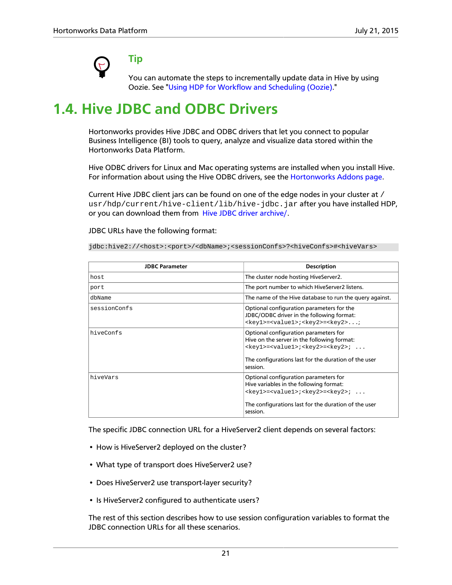

**Tip**

You can automate the steps to incrementally update data in Hive by using Oozie. See ["Using HDP for Workflow and Scheduling \(Oozie\)](#page-51-0)."

## <span id="page-26-0"></span>**1.4. Hive JDBC and ODBC Drivers**

Hortonworks provides Hive JDBC and ODBC drivers that let you connect to popular Business Intelligence (BI) tools to query, analyze and visualize data stored within the Hortonworks Data Platform.

Hive ODBC drivers for Linux and Mac operating systems are installed when you install Hive. For information about using the Hive ODBC drivers, see the [Hortonworks Addons page.](https://hortonworks.com/hdp/addons/)

Current Hive JDBC client jars can be found on one of the edge nodes in your cluster at / usr/hdp/current/hive-client/lib/hive-jdbc.jar after you have installed HDP, or you can download them from [Hive JDBC driver archive/](http://repo.hortonworks.com/content/repositories/releases/org/apache/hive/hive-jdbc/).

#### JDBC URLs have the following format:

jdbc:hive2://<host>:<port>/<dbName>;<sessionConfs>?<hiveConfs>#<hiveVars>

| <b>JDBC Parameter</b> | <b>Description</b>                                                                                                                                                                                                          |
|-----------------------|-----------------------------------------------------------------------------------------------------------------------------------------------------------------------------------------------------------------------------|
| host                  | The cluster node hosting HiveServer2.                                                                                                                                                                                       |
| port                  | The port number to which HiveServer2 listens.                                                                                                                                                                               |
| dbName                | The name of the Hive database to run the query against.                                                                                                                                                                     |
| sessionConfs          | Optional configuration parameters for the<br>JDBC/ODBC driver in the following format:<br><key1>=<value1>;<key2>=<key2>;</key2></key2></value1></key1>                                                                      |
| hiveConfs             | Optional configuration parameters for<br>Hive on the server in the following format:<br><key1>=<value1>;<key2>=<key2>; <br/>The configurations last for the duration of the user<br/>session.</key2></key2></value1></key1> |
| hiveVars              | Optional configuration parameters for<br>Hive variables in the following format:<br><key1>=<value1>;<key2>=<key2>; <br/>The configurations last for the duration of the user<br/>session.</key2></key2></value1></key1>     |

The specific JDBC connection URL for a HiveServer2 client depends on several factors:

- How is HiveServer2 deployed on the cluster?
- What type of transport does HiveServer2 use?
- Does HiveServer2 use transport-layer security?
- Is HiveServer2 configured to authenticate users?

The rest of this section describes how to use session configuration variables to format the JDBC connection URLs for all these scenarios.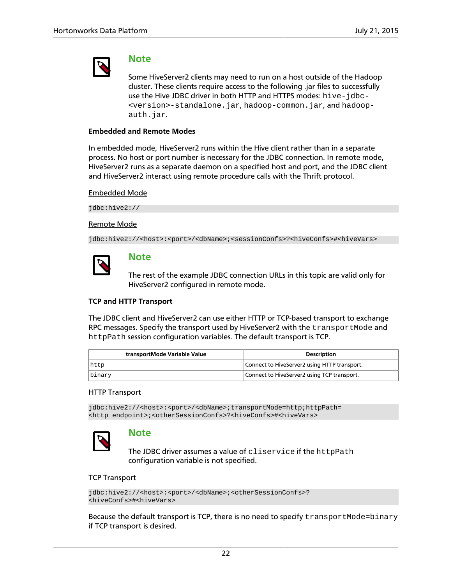

### **Note**

Some HiveServer2 clients may need to run on a host outside of the Hadoop cluster. These clients require access to the following .jar files to successfully use the Hive JDBC driver in both HTTP and HTTPS modes: hive-jdbc- <version>-standalone.jar, hadoop-common.jar, and hadoopauth.jar.

### **Embedded and Remote Modes**

In embedded mode, HiveServer2 runs within the Hive client rather than in a separate process. No host or port number is necessary for the JDBC connection. In remote mode, HiveServer2 runs as a separate daemon on a specified host and port, and the JDBC client and HiveServer2 interact using remote procedure calls with the Thrift protocol.

### Embedded Mode

jdbc:hive2://

#### Remote Mode

jdbc:hive2://<host>:<port>/<dbName>;<sessionConfs>?<hiveConfs>#<hiveVars>



### **Note**

The rest of the example JDBC connection URLs in this topic are valid only for HiveServer2 configured in remote mode.

### **TCP and HTTP Transport**

The JDBC client and HiveServer2 can use either HTTP or TCP-based transport to exchange RPC messages. Specify the transport used by HiveServer2 with the transportMode and httpPath session configuration variables. The default transport is TCP.

| transportMode Variable Value | <b>Description</b>                           |
|------------------------------|----------------------------------------------|
| http                         | Connect to HiveServer2 using HTTP transport. |
| binary                       | Connect to HiveServer2 using TCP transport.  |

### HTTP Transport

jdbc:hive2://<host>:<port>/<dbName>;transportMode=http;httpPath= <http\_endpoint>;<otherSessionConfs>?<hiveConfs>#<hiveVars>



### **Note**

The JDBC driver assumes a value of cliservice if the httpPath configuration variable is not specified.

#### TCP Transport

```
jdbc:hive2://<host>:<port>/<dbName>;<otherSessionConfs>?
<hiveConfs>#<hiveVars>
```
Because the default transport is TCP, there is no need to specify transportMode=binary if TCP transport is desired.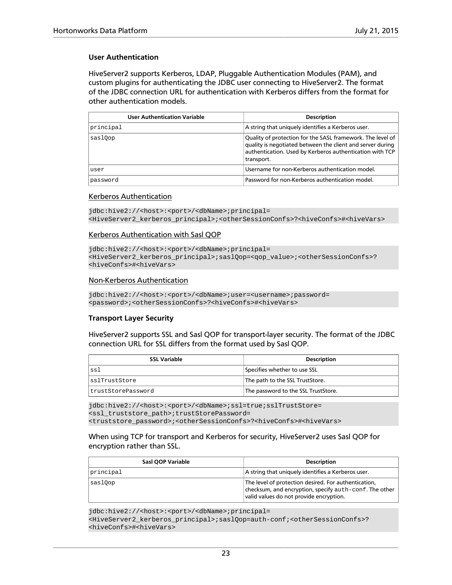### **User Authentication**

HiveServer2 supports Kerberos, LDAP, Pluggable Authentication Modules (PAM), and custom plugins for authenticating the JDBC user connecting to HiveServer2. The format of the JDBC connection URL for authentication with Kerberos differs from the format for other authentication models.

| <b>User Authentication Variable</b> | <b>Description</b>                                                                                                                                                                                 |
|-------------------------------------|----------------------------------------------------------------------------------------------------------------------------------------------------------------------------------------------------|
| principal                           | A string that uniquely identifies a Kerberos user.                                                                                                                                                 |
| saslOop                             | Quality of protection for the SASL framework. The level of<br>quality is negotiated between the client and server during<br>authentication. Used by Kerberos authentication with TCP<br>transport. |
| user                                | Username for non-Kerberos authentication model.                                                                                                                                                    |
| password                            | Password for non-Kerberos authentication model.                                                                                                                                                    |

#### Kerberos Authentication

```
jdbc:hive2://<host>:<port>/<dbName>;principal=
<HiveServer2_kerberos_principal>;<otherSessionConfs>?<hiveConfs>#<hiveVars>
```
#### Kerberos Authentication with Sasl QOP

```
jdbc:hive2://<host>:<port>/<dbName>;principal=
<HiveServer2_kerberos_principal>;saslQop=<qop_value>;<otherSessionConfs>?
<hiveConfs>#<hiveVars>
```
#### Non-Kerberos Authentication

```
jdbc:hive2://<host>:<port>/<dbName>;user=<username>;password=
<password>;<otherSessionConfs>?<hiveConfs>#<hiveVars>
```
#### **Transport Layer Security**

HiveServer2 supports SSL and Sasl QOP for transport-layer security. The format of the JDBC connection URL for SSL differs from the format used by Sasl QOP.

| <b>SSL Variable</b> | <b>Description</b>                  |
|---------------------|-------------------------------------|
| ssl                 | Specifies whether to use SSL        |
| sslTrustStore       | The path to the SSL TrustStore.     |
| trustStorePassword  | The password to the SSL TrustStore. |

jdbc:hive2://<host>:<port>/<dbName>;ssl=true;sslTrustStore= <ssl\_truststore\_path>;trustStorePassword= <truststore\_password>;<otherSessionConfs>?<hiveConfs>#<hiveVars>

#### When using TCP for transport and Kerberos for security, HiveServer2 uses Sasl QOP for encryption rather than SSL.

| Sasl QOP Variable | <b>Description</b>                                                                                                                                                        |
|-------------------|---------------------------------------------------------------------------------------------------------------------------------------------------------------------------|
| principal         | A string that uniquely identifies a Kerberos user.                                                                                                                        |
| saslOop           | The level of protection desired. For authentication,<br>$ $ checksum, and encryption, specify $\alpha$ uth-conf. The other $ $<br>valid values do not provide encryption. |

jdbc:hive2://<host>:<port>/<dbName>;principal= <HiveServer2\_kerberos\_principal>;saslQop=auth-conf;<otherSessionConfs>? <hiveConfs>#<hiveVars>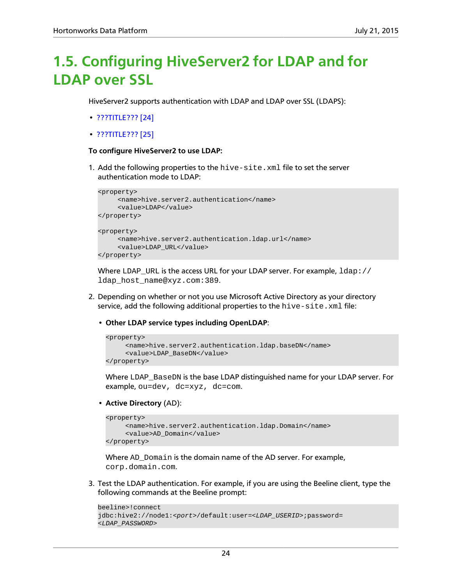## <span id="page-29-0"></span>**1.5. Configuring HiveServer2 for LDAP and for LDAP over SSL**

HiveServer2 supports authentication with LDAP and LDAP over SSL (LDAPS):

- [???TITLE??? \[24\]](#page-29-1)
- [???TITLE??? \[25\]](#page-30-0)

#### <span id="page-29-1"></span>**To configure HiveServer2 to use LDAP:**

1. Add the following properties to the hive-site.xml file to set the server authentication mode to LDAP:

```
<property>
      <name>hive.server2.authentication</name>
      <value>LDAP</value>
</property>
<property>
      <name>hive.server2.authentication.ldap.url</name>
      <value>LDAP_URL</value>
</property>
```
Where LDAP\_URL is the access URL for your LDAP server. For example,  $1$ dap:// ldap\_host\_name@xyz.com:389.

- 2. Depending on whether or not you use Microsoft Active Directory as your directory service, add the following additional properties to the  $\text{hive-site}$ .  $\text{xml}$  file:
	- **Other LDAP service types including OpenLDAP**:

```
<property>
      <name>hive.server2.authentication.ldap.baseDN</name>
      <value>LDAP_BaseDN</value>
</property>
```
Where LDAP\_BaseDN is the base LDAP distinguished name for your LDAP server. For example, ou=dev, dc=xyz, dc=com.

• **Active Directory** (AD):

```
<property>
      <name>hive.server2.authentication.ldap.Domain</name>
     <value>AD_Domain</value>
</property>
```
Where AD\_Domain is the domain name of the AD server. For example, corp.domain.com.

3. Test the LDAP authentication. For example, if you are using the Beeline client, type the following commands at the Beeline prompt:

```
beeline>!connect
jdbc:hive2://node1:<port>/default:user=<LDAP_USERID>;password=
<LDAP_PASSWORD>
```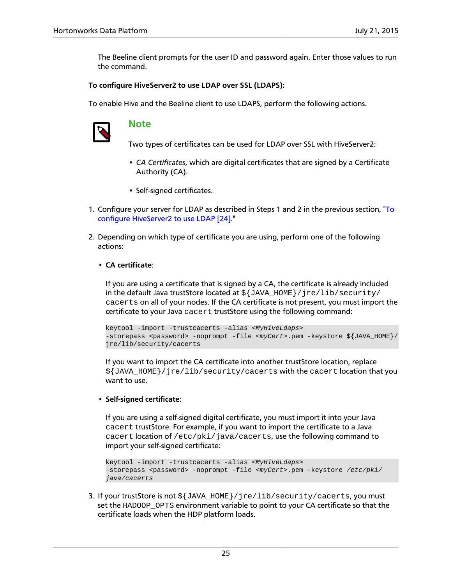The Beeline client prompts for the user ID and password again. Enter those values to run the command.

### <span id="page-30-0"></span>**To configure HiveServer2 to use LDAP over SSL (LDAPS):**

To enable Hive and the Beeline client to use LDAPS, perform the following actions.



### **Note**

Two types of certificates can be used for LDAP over SSL with HiveServer2:

- *CA Certificates*, which are digital certificates that are signed by a Certificate Authority (CA).
- Self-signed certificates.
- 1. Configure your server for LDAP as described in Steps 1 and 2 in the previous section, "[To](#page-29-1) [configure HiveServer2 to use LDAP \[24\].](#page-29-1)"
- 2. Depending on which type of certificate you are using, perform one of the following actions:

### • **CA certificate**:

If you are using a certificate that is signed by a CA, the certificate is already included in the default Java trustStore located at  $\frac{1}{2}$  JAVA\_HOME  $\frac{1}{2}$  jre/lib/security/ cacerts on all of your nodes. If the CA certificate is not present, you must import the certificate to your Java cacert trustStore using the following command:

```
keytool -import -trustcacerts -alias <MyHiveLdaps> 
-storepass <password> -noprompt -file <myCert>.pem -keystore ${JAVA_HOME}/
jre/lib/security/cacerts
```
If you want to import the CA certificate into another trustStore location, replace  $\frac{1}{2}$ [JAVA\_HOME}/jre/lib/security/cacerts with the cacert location that you want to use.

#### • **Self-signed certificate**:

If you are using a self-signed digital certificate, you must import it into your Java cacert trustStore. For example, if you want to import the certificate to a Java cacert location of /etc/pki/java/cacerts, use the following command to import your self-signed certificate:

```
keytool -import -trustcacerts -alias <MyHiveLdaps> 
-storepass <password> -noprompt -file <myCert>.pem -keystore /etc/pki/
java/cacerts
```
3. If your trustStore is not \${JAVA\_HOME}/jre/lib/security/cacerts, you must set the HADOOP\_OPTS environment variable to point to your CA certificate so that the certificate loads when the HDP platform loads.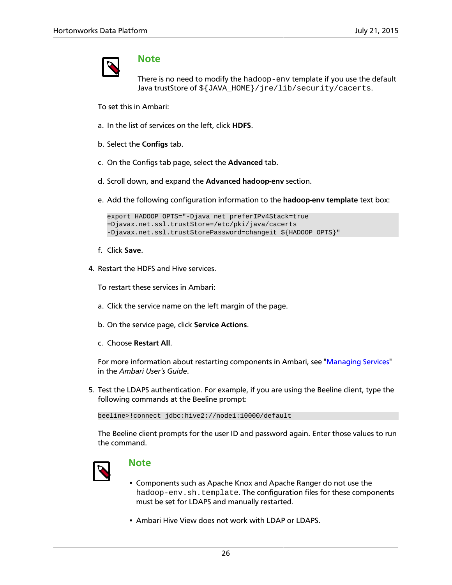

### **Note**

There is no need to modify the hadoop-env template if you use the default Java trustStore of  $\S$ {JAVA\_HOME}/jre/lib/security/cacerts.

To set this in Ambari:

- a. In the list of services on the left, click **HDFS**.
- b. Select the **Configs** tab.
- c. On the Configs tab page, select the **Advanced** tab.
- d. Scroll down, and expand the **Advanced hadoop-env** section.
- e. Add the following configuration information to the **hadoop-env template** text box:

```
export HADOOP_OPTS="-Djava_net_preferIPv4Stack=true
=Djavax.net.ssl.trustStore=/etc/pki/java/cacerts 
-Djavax.net.ssl.trustStorePassword=changeit ${HADOOP_OPTS}"
```
- f. Click **Save**.
- 4. Restart the HDFS and Hive services.

To restart these services in Ambari:

- a. Click the service name on the left margin of the page.
- b. On the service page, click **Service Actions**.
- c. Choose **Restart All**.

For more information about restarting components in Ambari, see ["Managing Services](https://docs.hortonworks.com/HDPDocuments/Ambari-2.1.2.1/bk_Ambari_Users_Guide/content/ch_managing_services.html)" in the *Ambari User's Guide*.

5. Test the LDAPS authentication. For example, if you are using the Beeline client, type the following commands at the Beeline prompt:

beeline>!connect jdbc:hive2://node1:10000/default

The Beeline client prompts for the user ID and password again. Enter those values to run the command.



### **Note**

- Components such as Apache Knox and Apache Ranger do not use the hadoop-env.sh.template. The configuration files for these components must be set for LDAPS and manually restarted.
- Ambari Hive View does not work with LDAP or LDAPS.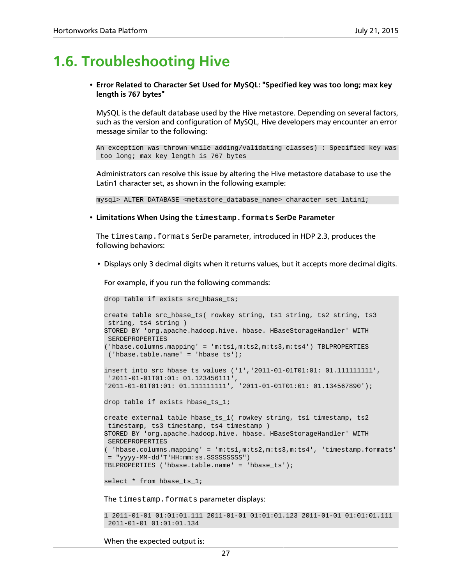## <span id="page-32-0"></span>**1.6. Troubleshooting Hive**

• **Error Related to Character Set Used for MySQL: "Specified key was too long; max key length is 767 bytes"**

MySQL is the default database used by the Hive metastore. Depending on several factors, such as the version and configuration of MySQL, Hive developers may encounter an error message similar to the following:

An exception was thrown while adding/validating classes) : Specified key was too long; max key length is 767 bytes

Administrators can resolve this issue by altering the Hive metastore database to use the Latin1 character set, as shown in the following example:

mysql> ALTER DATABASE <metastore\_database\_name> character set latin1;

• **Limitations When Using the timestamp.formats SerDe Parameter**

The timestamp.formats SerDe parameter, introduced in HDP 2.3, produces the following behaviors:

• Displays only 3 decimal digits when it returns values, but it accepts more decimal digits.

For example, if you run the following commands:

```
drop table if exists src_hbase_ts;
create table src_hbase_ts( rowkey string, ts1 string, ts2 string, ts3
  string, ts4 string ) 
STORED BY 'org.apache.hadoop.hive. hbase. HBaseStorageHandler' WITH
  SERDEPROPERTIES 
('hbase.columns.mapping' = 'm:ts1,m:ts2,m:ts3,m:ts4') TBLPROPERTIES
  ('hbase.table.name' = 'hbase_ts');
insert into src_hbase_ts values ('1','2011-01-01T01:01: 01.111111111',
  '2011-01-01T01:01: 01.123456111', 
'2011-01-01T01:01: 01.111111111', '2011-01-01T01:01: 01.134567890');
drop table if exists hbase_ts_1;
create external table hbase_ts_1( rowkey string, ts1 timestamp, ts2
 timestamp, ts3 timestamp, ts4 timestamp ) 
STORED BY 'org.apache.hadoop.hive. hbase. HBaseStorageHandler' WITH
 SERDEPROPERTIES 
( 'hbase.columns.mapping' = 'm:ts1,m:ts2,m:ts3,m:ts4', 'timestamp.formats'
 = "yyyy-MM-dd'T'HH:mm:ss.SSSSSSSSS") 
TBLPROPERTIES ('hbase.table.name' = 'hbase_ts');
select * from hbase_ts_1;
```
The timestamp.formats parameter displays:

```
1 2011-01-01 01:01:01.111 2011-01-01 01:01:01.123 2011-01-01 01:01:01.111
 2011-01-01 01:01:01.134
```
When the expected output is: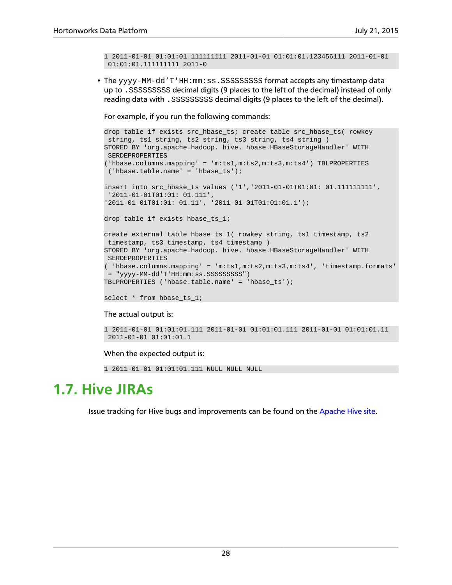```
1 2011-01-01 01:01:01.111111111 2011-01-01 01:01:01.123456111 2011-01-01
 01:01:01.111111111 2011-0
```
• The yyyy-MM-dd'T'HH:mm:ss.SSSSSSSSSS format accepts any timestamp data up to .SSSSSSSSS decimal digits (9 places to the left of the decimal) instead of only reading data with .SSSSSSSSS decimal digits (9 places to the left of the decimal).

For example, if you run the following commands:

```
drop table if exists src_hbase_ts; create table src_hbase_ts( rowkey
  string, ts1 string, ts2 string, ts3 string, ts4 string ) 
STORED BY 'org.apache.hadoop. hive. hbase.HBaseStorageHandler' WITH
  SERDEPROPERTIES 
('hbase.columns.mapping' = 'm:ts1,m:ts2,m:ts3,m:ts4') TBLPROPERTIES
  ('hbase.table.name' = 'hbase_ts');
insert into src_hbase_ts values ('1','2011-01-01T01:01: 01.111111111',
  '2011-01-01T01:01: 01.111', 
'2011-01-01T01:01: 01.11', '2011-01-01T01:01:01.1');
drop table if exists hbase_ts_1;
create external table hbase_ts_1( rowkey string, ts1 timestamp, ts2
 timestamp, ts3 timestamp, ts4 timestamp ) 
STORED BY 'org.apache.hadoop. hive. hbase.HBaseStorageHandler' WITH
 SERDEPROPERTIES 
 ( 'hbase.columns.mapping' = 'm:ts1,m:ts2,m:ts3,m:ts4', 'timestamp.formats'
 = "yyyy-MM-dd'T'HH:mm:ss.SSSSSSSSS") 
TBLPROPERTIES ('hbase.table.name' = 'hbase_ts');
```

```
select * from hbase_ts_1;
```
#### The actual output is:

```
1 2011-01-01 01:01:01.111 2011-01-01 01:01:01.111 2011-01-01 01:01:01.11
 2011-01-01 01:01:01.1
```
#### When the expected output is:

```
1 2011-01-01 01:01:01.111 NULL NULL NULL
```
## <span id="page-33-0"></span>**1.7. Hive JIRAs**

Issue tracking for Hive bugs and improvements can be found on the [Apache Hive site.](https://issues.apache.org/jira/browse/HIVE)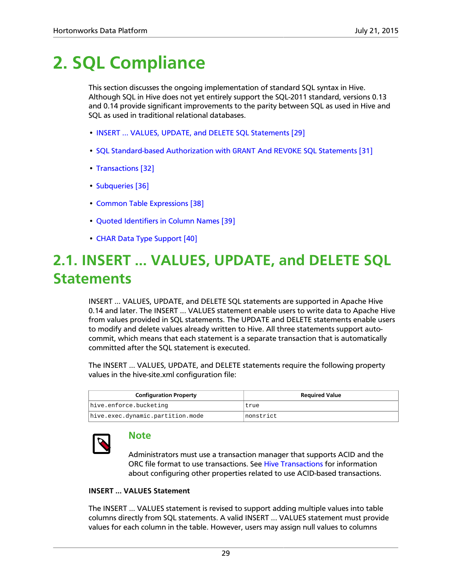## <span id="page-34-0"></span>**2. SQL Compliance**

This section discusses the ongoing implementation of standard SQL syntax in Hive. Although SQL in Hive does not yet entirely support the SQL-2011 standard, versions 0.13 and 0.14 provide significant improvements to the parity between SQL as used in Hive and SQL as used in traditional relational databases.

- [INSERT ... VALUES, UPDATE, and DELETE SQL Statements \[29\]](#page-34-1)
- [SQL Standard-based Authorization with](#page-36-0) GRANT And REVOKE SQL Statements [\[31\]](#page-36-0)
- [Transactions \[32\]](#page-37-0)
- [Subqueries \[36\]](#page-41-0)
- [Common Table Expressions \[38\]](#page-43-0)
- [Quoted Identifiers in Column Names \[39\]](#page-44-0)
- [CHAR Data Type Support \[40\]](#page-45-0)

## <span id="page-34-1"></span>**2.1. INSERT ... VALUES, UPDATE, and DELETE SQL Statements**

INSERT ... VALUES, UPDATE, and DELETE SQL statements are supported in Apache Hive 0.14 and later. The INSERT ... VALUES statement enable users to write data to Apache Hive from values provided in SQL statements. The UPDATE and DELETE statements enable users to modify and delete values already written to Hive. All three statements support autocommit, which means that each statement is a separate transaction that is automatically committed after the SQL statement is executed.

The INSERT ... VALUES, UPDATE, and DELETE statements require the following property values in the hive-site.xml configuration file:

| <b>Configuration Property</b>    | <b>Required Value</b> |
|----------------------------------|-----------------------|
| hive.enforce.bucketing           | true                  |
| hive.exec.dynamic.partition.mode | Inonstrict            |



### **Note**

Administrators must use a transaction manager that supports ACID and the ORC file format to use transactions. See [Hive Transactions](#page-37-0) for information about configuring other properties related to use ACID-based transactions.

### **INSERT ... VALUES Statement**

The INSERT ... VALUES statement is revised to support adding multiple values into table columns directly from SQL statements. A valid INSERT ... VALUES statement must provide values for each column in the table. However, users may assign null values to columns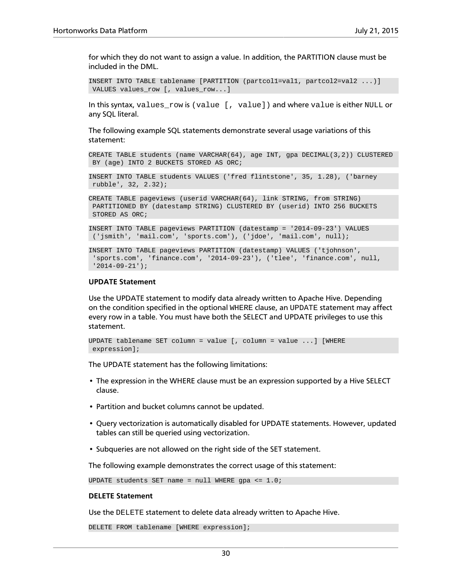for which they do not want to assign a value. In addition, the PARTITION clause must be included in the DML.

```
INSERT INTO TABLE tablename [PARTITION (partcol1=val1, partcol2=val2 ...)]
 VALUES values_row [, values_row...]
```
In this syntax, values\_row is (value [, value]) and where value is either NULL or any SQL literal.

The following example SQL statements demonstrate several usage variations of this statement:

CREATE TABLE students (name VARCHAR(64), age INT, gpa DECIMAL(3,2)) CLUSTERED BY (age) INTO 2 BUCKETS STORED AS ORC;

INSERT INTO TABLE students VALUES ('fred flintstone', 35, 1.28), ('barney rubble', 32, 2.32);

CREATE TABLE pageviews (userid VARCHAR(64), link STRING, from STRING) PARTITIONED BY (datestamp STRING) CLUSTERED BY (userid) INTO 256 BUCKETS STORED AS ORC;

INSERT INTO TABLE pageviews PARTITION (datestamp = '2014-09-23') VALUES ('jsmith', 'mail.com', 'sports.com'), ('jdoe', 'mail.com', null);

```
INSERT INTO TABLE pageviews PARTITION (datestamp) VALUES ('tjohnson',
  'sports.com', 'finance.com', '2014-09-23'), ('tlee', 'finance.com', null,
 '2014-09-21');
```
#### **UPDATE Statement**

Use the UPDATE statement to modify data already written to Apache Hive. Depending on the condition specified in the optional WHERE clause, an UPDATE statement may affect every row in a table. You must have both the SELECT and UPDATE privileges to use this statement.

```
UPDATE tablename SET column = value [, column = value ...] [WHERE
 expression];
```
The UPDATE statement has the following limitations:

- The expression in the WHERE clause must be an expression supported by a Hive SELECT clause.
- Partition and bucket columns cannot be updated.
- Query vectorization is automatically disabled for UPDATE statements. However, updated tables can still be queried using vectorization.
- Subqueries are not allowed on the right side of the SET statement.

The following example demonstrates the correct usage of this statement:

UPDATE students SET name =  $null$  WHERE gpa <=  $1.0$ ;

#### **DELETE Statement**

Use the DELETE statement to delete data already written to Apache Hive.

DELETE FROM tablename [WHERE expression];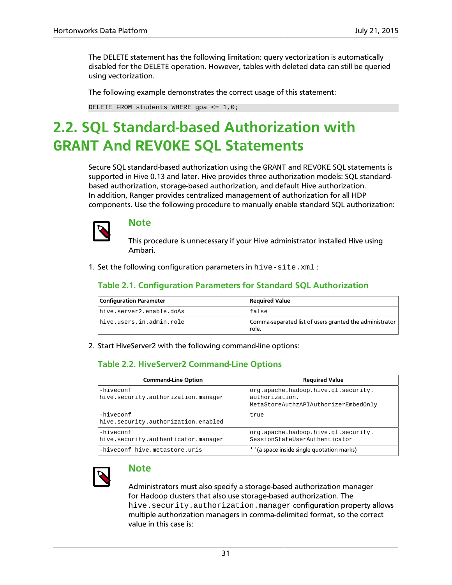The DELETE statement has the following limitation: query vectorization is automatically disabled for the DELETE operation. However, tables with deleted data can still be queried using vectorization.

The following example demonstrates the correct usage of this statement:

DELETE FROM students WHERE gpa  $\leq 1,0;$ 

## <span id="page-36-0"></span>**2.2. SQL Standard-based Authorization with GRANT And REVOKE SQL Statements**

Secure SQL standard-based authorization using the GRANT and REVOKE SQL statements is supported in Hive 0.13 and later. Hive provides three authorization models: SQL standardbased authorization, storage-based authorization, and default Hive authorization. In addition, Ranger provides centralized management of authorization for all HDP components. Use the following procedure to manually enable standard SQL authorization:



### **Note**

This procedure is unnecessary if your Hive administrator installed Hive using Ambari.

<span id="page-36-1"></span>1. Set the following configuration parameters in hive-site.xml :

### **Table 2.1. Configuration Parameters for Standard SQL Authorization**

| <b>Configuration Parameter</b> | Required Value                                                   |
|--------------------------------|------------------------------------------------------------------|
| hive.server2.enable.doAs       | false                                                            |
| hive.users.in.admin.role       | Comma-separated list of users granted the administrator<br>role. |

<span id="page-36-2"></span>2. Start HiveServer2 with the following command-line options:

### **Table 2.2. HiveServer2 Command-Line Options**

| <b>Command-Line Option</b>                       | <b>Required Value</b>                                                                         |
|--------------------------------------------------|-----------------------------------------------------------------------------------------------|
| -hiveconf<br>hive.security.authorization.manager | org.apache.hadoop.hive.ql.security.<br>authorization.<br>MetaStoreAuthzAPIAuthorizerEmbedOnly |
| -hiveconf<br>hive.security.authorization.enabled | true                                                                                          |
| -hiveconf<br>hive.security.authenticator.manager | org.apache.hadoop.hive.gl.security.<br>SessionStateUserAuthenticator                          |
| -hiveconf hive.metastore.uris                    | (a space inside single quotation marks)                                                       |



### **Note**

Administrators must also specify a storage-based authorization manager for Hadoop clusters that also use storage-based authorization. The hive.security.authorization.manager configuration property allows multiple authorization managers in comma-delimited format, so the correct value in this case is: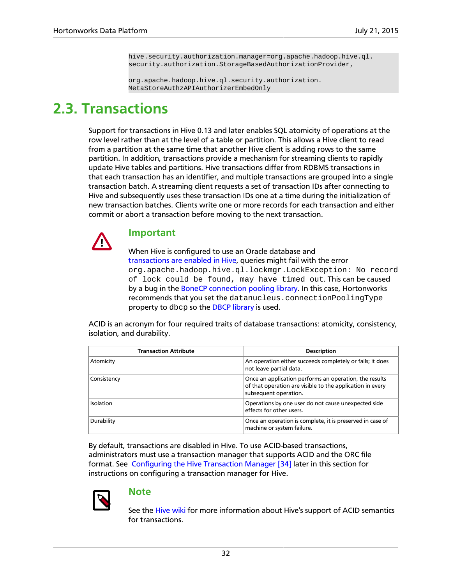hive.security.authorization.manager=org.apache.hadoop.hive.ql. security.authorization.StorageBasedAuthorizationProvider,

org.apache.hadoop.hive.ql.security.authorization. MetaStoreAuthzAPIAuthorizerEmbedOnly

## <span id="page-37-0"></span>**2.3. Transactions**

Support for transactions in Hive 0.13 and later enables SQL atomicity of operations at the row level rather than at the level of a table or partition. This allows a Hive client to read from a partition at the same time that another Hive client is adding rows to the same partition. In addition, transactions provide a mechanism for streaming clients to rapidly update Hive tables and partitions. Hive transactions differ from RDBMS transactions in that each transaction has an identifier, and multiple transactions are grouped into a single transaction batch. A streaming client requests a set of transaction IDs after connecting to Hive and subsequently uses these transaction IDs one at a time during the initialization of new transaction batches. Clients write one or more records for each transaction and either commit or abort a transaction before moving to the next transaction.



### **Important**

When Hive is configured to use an Oracle database and [transactions are enabled in Hive](https://cwiki.apache.org/confluence/display/Hive/Hive+Transactions#HiveTransactions-Configuration), queries might fail with the error org.apache.hadoop.hive.ql.lockmgr.LockException: No record of lock could be found, may have timed out. This can be caused by a bug in the [BoneCP connection pooling library](http://www.jolbox.com). In this case, Hortonworks recommends that you set the datanucleus.connectionPoolingType property to dbcp so the [DBCP library](http://commons.apache.org/proper/commons-dbcp/) is used.

ACID is an acronym for four required traits of database transactions: atomicity, consistency, isolation, and durability.

| <b>Transaction Attribute</b> | <b>Description</b>                                                                                                                           |
|------------------------------|----------------------------------------------------------------------------------------------------------------------------------------------|
| Atomicity                    | An operation either succeeds completely or fails; it does<br>not leave partial data.                                                         |
| Consistency                  | Once an application performs an operation, the results<br>of that operation are visible to the application in every<br>subsequent operation. |
| Isolation                    | Operations by one user do not cause unexpected side<br>effects for other users.                                                              |
| Durability                   | Once an operation is complete, it is preserved in case of<br>machine or system failure.                                                      |

By default, transactions are disabled in Hive. To use ACID-based transactions, administrators must use a transaction manager that supports ACID and the ORC file format. See [Configuring the Hive Transaction Manager \[34\]](#page-39-0) later in this section for instructions on configuring a transaction manager for Hive.



### **Note**

See the [Hive wiki](https://cwiki.apache.org/confluence/display/Hive/Hive+Transactions) for more information about Hive's support of ACID semantics for transactions.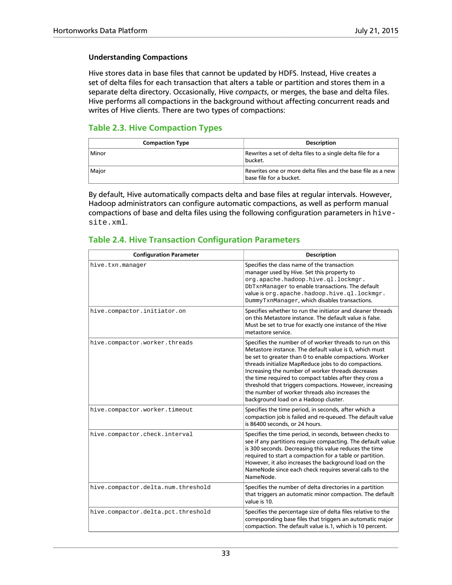### **Understanding Compactions**

Hive stores data in base files that cannot be updated by HDFS. Instead, Hive creates a set of delta files for each transaction that alters a table or partition and stores them in a separate delta directory. Occasionally, Hive *compacts*, or merges, the base and delta files. Hive performs all compactions in the background without affecting concurrent reads and writes of Hive clients. There are two types of compactions:

### <span id="page-38-0"></span>**Table 2.3. Hive Compaction Types**

| <b>Compaction Type</b> | <b>Description</b>                                                                     |
|------------------------|----------------------------------------------------------------------------------------|
| Minor                  | Rewrites a set of delta files to a single delta file for a<br>bucket.                  |
| Major                  | Rewrites one or more delta files and the base file as a new<br>base file for a bucket. |

By default, Hive automatically compacts delta and base files at regular intervals. However, Hadoop administrators can configure automatic compactions, as well as perform manual compactions of base and delta files using the following configuration parameters in hivesite.xml.

### <span id="page-38-1"></span>**Table 2.4. Hive Transaction Configuration Parameters**

| <b>Configuration Parameter</b>     | <b>Description</b>                                                                                                                                                                                                                                                                                                                                                                                                                                                                                         |
|------------------------------------|------------------------------------------------------------------------------------------------------------------------------------------------------------------------------------------------------------------------------------------------------------------------------------------------------------------------------------------------------------------------------------------------------------------------------------------------------------------------------------------------------------|
| hive.txn.manager                   | Specifies the class name of the transaction<br>manager used by Hive. Set this property to<br>org.apache.hadoop.hive.ql.lockmgr.<br>DbTxnManager to enable transactions. The default<br>value is org.apache.hadoop.hive.ql.lockmgr.<br>DummyTxnManager, which disables transactions.                                                                                                                                                                                                                        |
| hive.compactor.initiator.on        | Specifies whether to run the initiator and cleaner threads<br>on this Metastore instance. The default value is false.<br>Must be set to true for exactly one instance of the Hive<br>metastore service.                                                                                                                                                                                                                                                                                                    |
| hive.compactor.worker.threads      | Specifies the number of of worker threads to run on this<br>Metastore instance. The default value is 0, which must<br>be set to greater than 0 to enable compactions. Worker<br>threads initialize MapReduce jobs to do compactions.<br>Increasing the number of worker threads decreases<br>the time required to compact tables after they cross a<br>threshold that triggers compactions. However, increasing<br>the number of worker threads also increases the<br>background load on a Hadoop cluster. |
| hive.compactor.worker.timeout      | Specifies the time period, in seconds, after which a<br>compaction job is failed and re-queued. The default value<br>is 86400 seconds, or 24 hours.                                                                                                                                                                                                                                                                                                                                                        |
| hive.compactor.check.interval      | Specifies the time period, in seconds, between checks to<br>see if any partitions require compacting. The default value<br>is 300 seconds. Decreasing this value reduces the time<br>required to start a compaction for a table or partition.<br>However, it also increases the background load on the<br>NameNode since each check requires several calls to the<br>NameNode.                                                                                                                             |
| hive.compactor.delta.num.threshold | Specifies the number of delta directories in a partition<br>that triggers an automatic minor compaction. The default<br>value is 10.                                                                                                                                                                                                                                                                                                                                                                       |
| hive.compactor.delta.pct.threshold | Specifies the percentage size of delta files relative to the<br>corresponding base files that triggers an automatic major<br>compaction. The default value is 1, which is 10 percent.                                                                                                                                                                                                                                                                                                                      |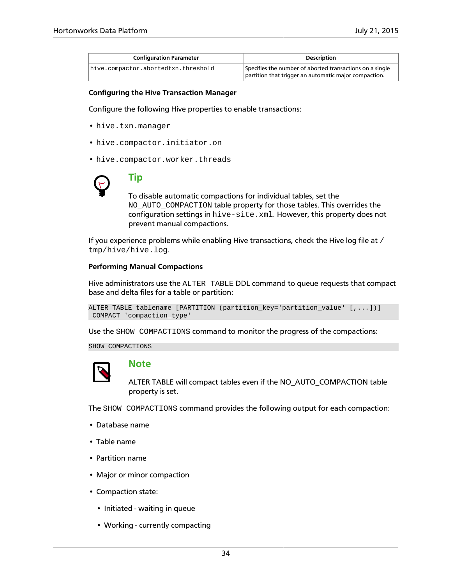| <b>Configuration Parameter</b>      | <b>Description</b>                                       |
|-------------------------------------|----------------------------------------------------------|
| hive.compactor.abortedtxn.threshold | Specifies the number of aborted transactions on a single |
|                                     | partition that trigger an automatic major compaction.    |

#### <span id="page-39-0"></span>**Configuring the Hive Transaction Manager**

Configure the following Hive properties to enable transactions:

- hive.txn.manager
- hive.compactor.initiator.on
- hive.compactor.worker.threads



## **Tip**

To disable automatic compactions for individual tables, set the NO\_AUTO\_COMPACTION table property for those tables. This overrides the configuration settings in hive-site.xml. However, this property does not prevent manual compactions.

If you experience problems while enabling Hive transactions, check the Hive log file at / tmp/hive/hive.log.

#### **Performing Manual Compactions**

Hive administrators use the ALTER TABLE DDL command to queue requests that compact base and delta files for a table or partition:

```
ALTER TABLE tablename [PARTITION (partition_key='partition_value' [,...])]
 COMPACT 'compaction_type'
```
Use the SHOW COMPACTIONS command to monitor the progress of the compactions:

SHOW COMPACTIONS



### **Note**

ALTER TABLE will compact tables even if the NO\_AUTO\_COMPACTION table property is set.

The SHOW COMPACTIONS command provides the following output for each compaction:

- Database name
- Table name
- Partition name
- Major or minor compaction
- Compaction state:
	- Initiated waiting in queue
	- Working currently compacting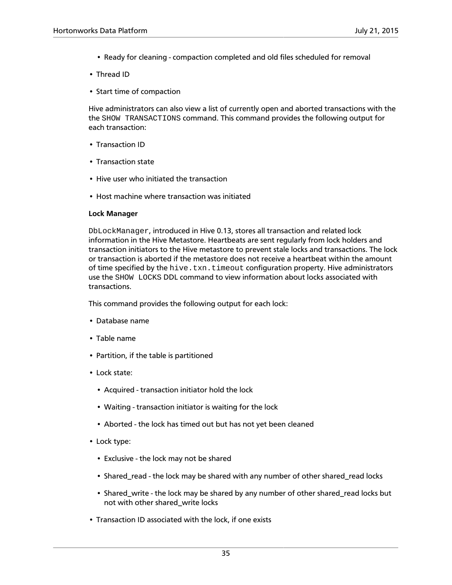- Ready for cleaning compaction completed and old files scheduled for removal
- Thread ID
- Start time of compaction

Hive administrators can also view a list of currently open and aborted transactions with the the SHOW TRANSACTIONS command. This command provides the following output for each transaction:

- Transaction ID
- Transaction state
- Hive user who initiated the transaction
- Host machine where transaction was initiated

### **Lock Manager**

DbLockManager, introduced in Hive 0.13, stores all transaction and related lock information in the Hive Metastore. Heartbeats are sent regularly from lock holders and transaction initiators to the Hive metastore to prevent stale locks and transactions. The lock or transaction is aborted if the metastore does not receive a heartbeat within the amount of time specified by the hive.txn.timeout configuration property. Hive administrators use the SHOW LOCKS DDL command to view information about locks associated with transactions.

This command provides the following output for each lock:

- Database name
- Table name
- Partition, if the table is partitioned
- Lock state:
	- Acquired transaction initiator hold the lock
	- Waiting transaction initiator is waiting for the lock
	- Aborted the lock has timed out but has not yet been cleaned
- Lock type:
	- Exclusive the lock may not be shared
	- Shared\_read the lock may be shared with any number of other shared\_read locks
	- Shared\_write the lock may be shared by any number of other shared\_read locks but not with other shared\_write locks
- Transaction ID associated with the lock, if one exists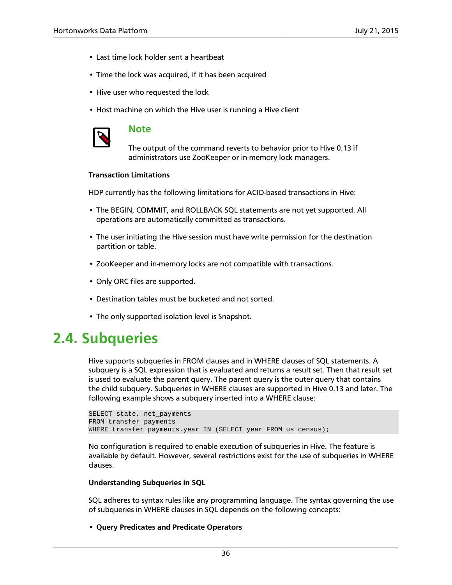- Last time lock holder sent a heartbeat
- Time the lock was acquired, if it has been acquired
- Hive user who requested the lock
- Host machine on which the Hive user is running a Hive client



### **Note**

The output of the command reverts to behavior prior to Hive 0.13 if administrators use ZooKeeper or in-memory lock managers.

### **Transaction Limitations**

HDP currently has the following limitations for ACID-based transactions in Hive:

- The BEGIN, COMMIT, and ROLLBACK SQL statements are not yet supported. All operations are automatically committed as transactions.
- The user initiating the Hive session must have write permission for the destination partition or table.
- ZooKeeper and in-memory locks are not compatible with transactions.
- Only ORC files are supported.
- Destination tables must be bucketed and not sorted.
- The only supported isolation level is Snapshot.

## <span id="page-41-0"></span>**2.4. Subqueries**

Hive supports subqueries in FROM clauses and in WHERE clauses of SQL statements. A subquery is a SQL expression that is evaluated and returns a result set. Then that result set is used to evaluate the parent query. The parent query is the outer query that contains the child subquery. Subqueries in WHERE clauses are supported in Hive 0.13 and later. The following example shows a subquery inserted into a WHERE clause:

```
SELECT state, net_payments
FROM transfer_payments
WHERE transfer_payments.year IN (SELECT year FROM us_census);
```
No configuration is required to enable execution of subqueries in Hive. The feature is available by default. However, several restrictions exist for the use of subqueries in WHERE clauses.

#### **Understanding Subqueries in SQL**

SQL adheres to syntax rules like any programming language. The syntax governing the use of subqueries in WHERE clauses in SQL depends on the following concepts:

• **Query Predicates and Predicate Operators**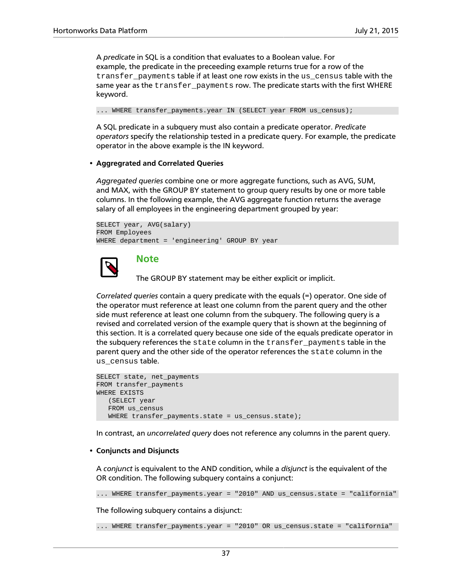A *predicate* in SQL is a condition that evaluates to a Boolean value. For example, the predicate in the preceeding example returns true for a row of the transfer\_payments table if at least one row exists in the us\_census table with the same year as the transfer\_payments row. The predicate starts with the first WHERE keyword.

... WHERE transfer\_payments.year IN (SELECT year FROM us\_census);

A SQL predicate in a subquery must also contain a predicate operator. *Predicate operators* specify the relationship tested in a predicate query. For example, the predicate operator in the above example is the IN keyword.

#### • **Aggregrated and Correlated Queries**

*Aggregated queries* combine one or more aggregate functions, such as AVG, SUM, and MAX, with the GROUP BY statement to group query results by one or more table columns. In the following example, the AVG aggregate function returns the average salary of all employees in the engineering department grouped by year:

```
SELECT year, AVG(salary)
FROM Employees
WHERE department = 'engineering' GROUP BY year
```


### **Note**

The GROUP BY statement may be either explicit or implicit.

*Correlated queries* contain a query predicate with the equals (=) operator. One side of the operator must reference at least one column from the parent query and the other side must reference at least one column from the subquery. The following query is a revised and correlated version of the example query that is shown at the beginning of this section. It is a correlated query because one side of the equals predicate operator in the subquery references the state column in the transfer\_payments table in the parent query and the other side of the operator references the state column in the us\_census table.

```
SELECT state, net_payments
FROM transfer_payments
WHERE EXISTS 
    (SELECT year 
   FROM us_census 
  WHERE transfer_payments.state = us_census.state);
```
In contrast, an *uncorrelated query* does not reference any columns in the parent query.

#### • **Conjuncts and Disjuncts**

A *conjunct* is equivalent to the AND condition, while a *disjunct* is the equivalent of the OR condition. The following subquery contains a conjunct:

... WHERE transfer\_payments.year = "2010" AND us\_census.state = "california"

The following subquery contains a disjunct:

... WHERE transfer\_payments.year = "2010" OR us\_census.state = "california"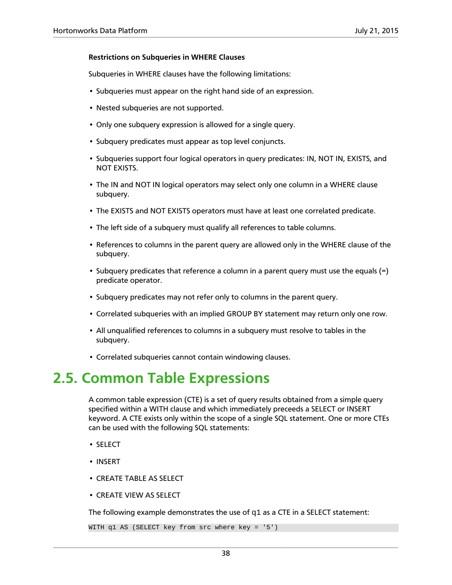### **Restrictions on Subqueries in WHERE Clauses**

Subqueries in WHERE clauses have the following limitations:

- Subqueries must appear on the right hand side of an expression.
- Nested subqueries are not supported.
- Only one subquery expression is allowed for a single query.
- Subquery predicates must appear as top level conjuncts.
- Subqueries support four logical operators in query predicates: IN, NOT IN, EXISTS, and NOT EXISTS.
- The IN and NOT IN logical operators may select only one column in a WHERE clause subquery.
- The EXISTS and NOT EXISTS operators must have at least one correlated predicate.
- The left side of a subquery must qualify all references to table columns.
- References to columns in the parent query are allowed only in the WHERE clause of the subquery.
- Subquery predicates that reference a column in a parent query must use the equals (=) predicate operator.
- Subquery predicates may not refer only to columns in the parent query.
- Correlated subqueries with an implied GROUP BY statement may return only one row.
- All unqualified references to columns in a subquery must resolve to tables in the subquery.
- Correlated subqueries cannot contain windowing clauses.

## <span id="page-43-0"></span>**2.5. Common Table Expressions**

A common table expression (CTE) is a set of query results obtained from a simple query specified within a WITH clause and which immediately preceeds a SELECT or INSERT keyword. A CTE exists only within the scope of a single SQL statement. One or more CTEs can be used with the following SQL statements:

- SELECT
- INSERT
- CREATE TABLE AS SELECT
- CREATE VIEW AS SELECT

The following example demonstrates the use of  $q1$  as a CTE in a SELECT statement:

WITH q1 AS (SELECT key from src where key = '5')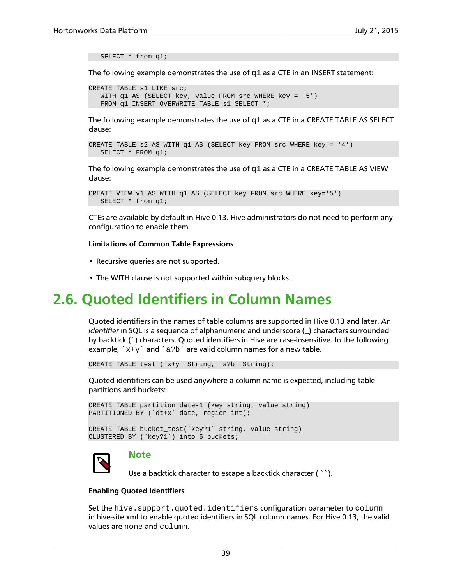SELECT \* from q1;

The following example demonstrates the use of  $q1$  as a CTE in an INSERT statement:

```
CREATE TABLE s1 LIKE src;
   WITH q1 AS (SELECT key, value FROM src WHERE key = '5') 
  FROM q1 INSERT OVERWRITE TABLE s1 SELECT *;
```
The following example demonstrates the use of  $q1$  as a CTE in a CREATE TABLE AS SELECT clause:

```
CREATE TABLE s2 AS WITH q1 AS (SELECT key FROM src WHERE key = '4') 
   SELECT * FROM q1;
```
The following example demonstrates the use of  $q1$  as a CTE in a CREATE TABLE AS VIEW clause:

```
CREATE VIEW v1 AS WITH q1 AS (SELECT key FROM src WHERE key='5') 
   SELECT * from q1;
```
CTEs are available by default in Hive 0.13. Hive administrators do not need to perform any configuration to enable them.

#### **Limitations of Common Table Expressions**

- Recursive queries are not supported.
- The WITH clause is not supported within subquery blocks.

## <span id="page-44-0"></span>**2.6. Quoted Identifiers in Column Names**

Quoted identifiers in the names of table columns are supported in Hive 0.13 and later. An *identifier* in SQL is a sequence of alphanumeric and underscore (\_) characters surrounded by backtick (`) characters. Quoted identifiers in Hive are case-insensitive. In the following example,  $x+y$  and  $a/b$  are valid column names for a new table.

```
CREATE TABLE test (`x+y` String, `a?b` String);
```
Quoted identifiers can be used anywhere a column name is expected, including table partitions and buckets:

```
CREATE TABLE partition_date-1 (key string, value string) 
PARTITIONED BY (`dt+x` date, region int);
CREATE TABLE bucket_test(`key?1` string, value string) 
CLUSTERED BY (`key?1`) into 5 buckets;
```


### **Note**

Use a backtick character to escape a backtick character ( ``).

#### **Enabling Quoted Identifiers**

Set the hive.support.quoted.identifiers configuration parameter to column in hive-site.xml to enable quoted identifiers in SQL column names. For Hive 0.13, the valid values are none and column.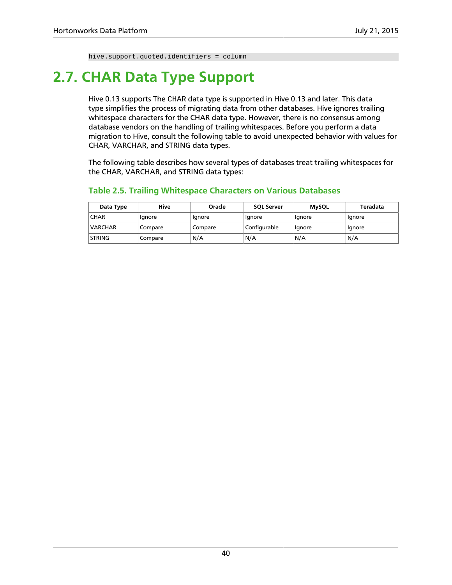hive.support.quoted.identifiers = column

## <span id="page-45-0"></span>**2.7. CHAR Data Type Support**

Hive 0.13 supports The CHAR data type is supported in Hive 0.13 and later. This data type simplifies the process of migrating data from other databases. Hive ignores trailing whitespace characters for the CHAR data type. However, there is no consensus among database vendors on the handling of trailing whitespaces. Before you perform a data migration to Hive, consult the following table to avoid unexpected behavior with values for CHAR, VARCHAR, and STRING data types.

The following table describes how several types of databases treat trailing whitespaces for the CHAR, VARCHAR, and STRING data types:

| Data Type      | Hive    | Oracle  | <b>SOL Server</b> | <b>MySQL</b> | Teradata |
|----------------|---------|---------|-------------------|--------------|----------|
| <b>CHAR</b>    | lgnore  | Ignore  | Ignore            | Ignore       | lgnore   |
| <b>VARCHAR</b> | Compare | Compare | Configurable      | Ignore       | lgnore   |
| <b>STRING</b>  | Compare | N/A     | N/A               | N/A          | N/A      |

### <span id="page-45-1"></span>**Table 2.5. Trailing Whitespace Characters on Various Databases**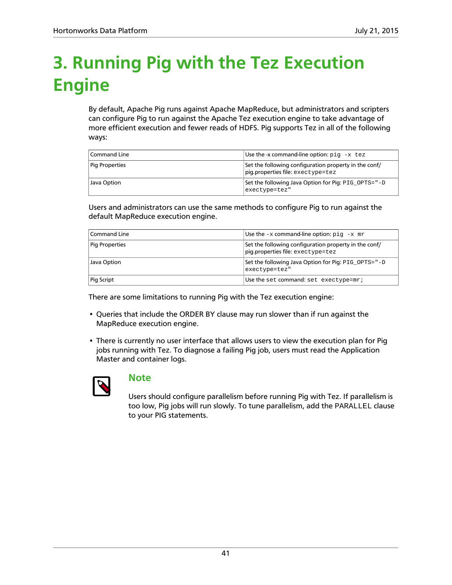## <span id="page-46-0"></span>**3. Running Pig with the Tez Execution Engine**

By default, Apache Pig runs against Apache MapReduce, but administrators and scripters can configure Pig to run against the Apache Tez execution engine to take advantage of more efficient execution and fewer reads of HDFS. Pig supports Tez in all of the following ways:

| Command Line   | Use the -x command-line option: $pi - x$ tez                                               |
|----------------|--------------------------------------------------------------------------------------------|
| Pig Properties | Set the following configuration property in the conf/<br>pig.properties file: exectype=tez |
| Java Option    | Set the following Java Option for Pig: PIG OPTS="-D<br>exectype=tez"                       |

Users and administrators can use the same methods to configure Pig to run against the default MapReduce execution engine.

| <b>Command Line</b>   | Use the $-x$ command-line option: $pi - x$ mr                                              |
|-----------------------|--------------------------------------------------------------------------------------------|
| <b>Pig Properties</b> | Set the following configuration property in the conf/<br>pig.properties file: exectype=tez |
| Java Option           | Set the following Java Option for Pig: PIG_OPTS="-D<br>exectype=tez"                       |
| Pig Script            | Use the set command: set exectype=mr;                                                      |

There are some limitations to running Pig with the Tez execution engine:

- Queries that include the ORDER BY clause may run slower than if run against the MapReduce execution engine.
- There is currently no user interface that allows users to view the execution plan for Pig jobs running with Tez. To diagnose a failing Pig job, users must read the Application Master and container logs.



### **Note**

Users should configure parallelism before running Pig with Tez. If parallelism is too low, Pig jobs will run slowly. To tune parallelism, add the PARALLEL clause to your PIG statements.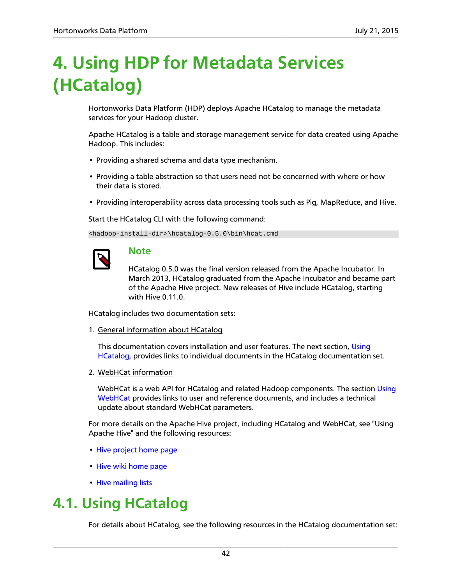## <span id="page-47-0"></span>**4. Using HDP for Metadata Services (HCatalog)**

Hortonworks Data Platform (HDP) deploys Apache HCatalog to manage the metadata services for your Hadoop cluster.

Apache HCatalog is a table and storage management service for data created using Apache Hadoop. This includes:

- Providing a shared schema and data type mechanism.
- Providing a table abstraction so that users need not be concerned with where or how their data is stored.
- Providing interoperability across data processing tools such as Pig, MapReduce, and Hive.

Start the HCatalog CLI with the following command:

<hadoop-install-dir>\hcatalog-0.5.0\bin\hcat.cmd

### **Note**

HCatalog 0.5.0 was the final version released from the Apache Incubator. In March 2013, HCatalog graduated from the Apache Incubator and became part of the Apache Hive project. New releases of Hive include HCatalog, starting with Hive 0.11.0.

HCatalog includes two documentation sets:

1. General information about HCatalog

This documentation covers installation and user features. The next section, [Using](#page-47-1) [HCatalog](#page-47-1), provides links to individual documents in the HCatalog documentation set.

2. WebHCat information

WebHCat is a web API for HCatalog and related Hadoop components. The section [Using](#page-48-0) [WebHCat](#page-48-0) provides links to user and reference documents, and includes a technical update about standard WebHCat parameters.

For more details on the Apache Hive project, including HCatalog and WebHCat, see "Using Apache Hive" and the following resources:

- [Hive project home page](http://hive.apache.org/)
- [Hive wiki home page](https://cwiki.apache.org/confluence/display/Hive/Home)
- [Hive mailing lists](http://hive.apache.org/mailing_lists.html)

## <span id="page-47-1"></span>**4.1. Using HCatalog**

For details about HCatalog, see the following resources in the HCatalog documentation set: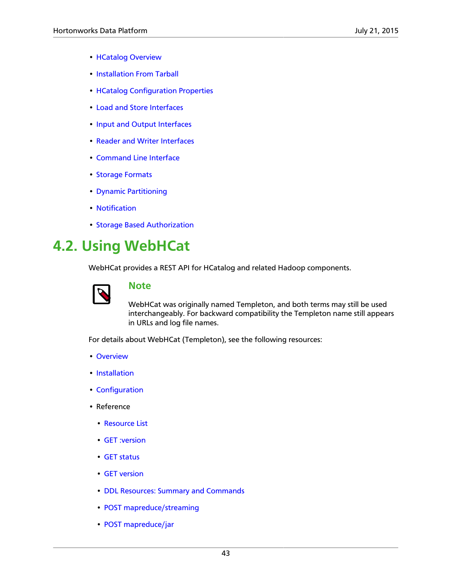- [HCatalog Overview](https://cwiki.apache.org/confluence/display/Hive/HCatalog%2BUsingHCat)
- [Installation From Tarball](https://cwiki.apache.org/confluence/display/Hive/HCatalog%2BInstallHCat)
- [HCatalog Configuration Properties](https://cwiki.apache.org/confluence/display/Hive/HCatalog+Configuration+Properties)
- [Load and Store Interfaces](https://cwiki.apache.org/confluence/display/Hive/HCatalog%2BLoadStore)
- [Input and Output Interfaces](https://cwiki.apache.org/confluence/display/Hive/HCatalog%2BInputOutput)
- [Reader and Writer Interfaces](https://cwiki.apache.org/confluence/display/Hive/HCatalog%2BReaderWriter)
- [Command Line Interface](https://cwiki.apache.org/confluence/display/Hive/HCatalog%2BCLI)
- [Storage Formats](https://cwiki.apache.org/confluence/display/Hive/HCatalog%2BStorageFormats)
- [Dynamic Partitioning](https://cwiki.apache.org/confluence/display/Hive/HCatalog%2BDynamicPartitions)
- [Notification](https://cwiki.apache.org/confluence/display/Hive/HCatalog%2BNotification)
- [Storage Based Authorization](https://cwiki.apache.org/confluence/display/Hive/HCatalog%2BAuthorization)

## <span id="page-48-0"></span>**4.2. Using WebHCat**

WebHCat provides a REST API for HCatalog and related Hadoop components.



### **Note**

WebHCat was originally named Templeton, and both terms may still be used interchangeably. For backward compatibility the Templeton name still appears in URLs and log file names.

For details about WebHCat (Templeton), see the following resources:

- [Overview](https://cwiki.apache.org/confluence/display/Hive/WebHCat%2BUsingWebHCat)
- [Installation](https://cwiki.apache.org/confluence/display/Hive/WebHCat%2BInstallWebHCat)
- [Configuration](https://cwiki.apache.org/confluence/display/Hive/WebHCat%2BConfigure)
- Reference
	- [Resource List](https://cwiki.apache.org/confluence/display/Hive/WebHCat%2BReference)
	- [GET :version](https://cwiki.apache.org/confluence/display/Hive/WebHCat%2BReference%2BResponseTypes)
	- [GET status](https://cwiki.apache.org/confluence/display/Hive/WebHCat%2BReference%2BStatus)
	- [GET version](https://cwiki.apache.org/confluence/display/Hive/WebHCat%2BReference%2BVersion)
	- [DDL Resources: Summary and Commands](https://cwiki.apache.org/confluence/display/Hive/WebHCat%2BReference%2BAllDDL)
	- [POST mapreduce/streaming](https://cwiki.apache.org/confluence/display/Hive/WebHCat%2BReference%2BMapReduceStream)
	- [POST mapreduce/jar](https://cwiki.apache.org/confluence/display/Hive/WebHCat%2BReference%2BMapReduceJar)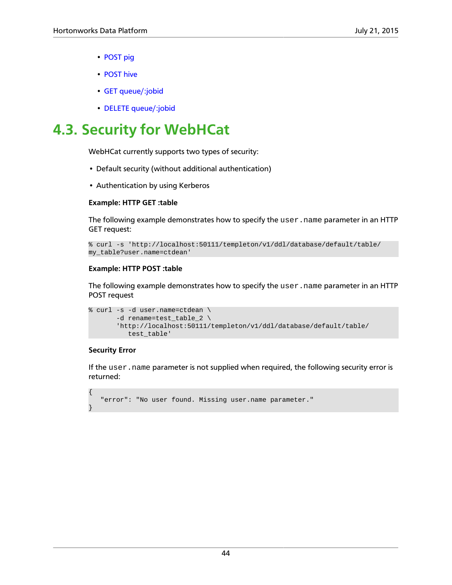- [POST pig](https://cwiki.apache.org/confluence/display/Hive/WebHCat%2BReference%2BPig)
- [POST hive](https://cwiki.apache.org/confluence/display/Hive/WebHCat%2BReference%2BHive)
- [GET queue/:jobid](https://cwiki.apache.org/confluence/display/Hive/WebHCat%2BReference%2BJobInfo)
- [DELETE queue/:jobid](https://cwiki.apache.org/confluence/display/Hive/WebHCat+Reference+DeleteJob)

## <span id="page-49-0"></span>**4.3. Security for WebHCat**

WebHCat currently supports two types of security:

- Default security (without additional authentication)
- Authentication by using Kerberos

### **Example: HTTP GET :table**

The following example demonstrates how to specify the user. name parameter in an HTTP GET request:

```
% curl -s 'http://localhost:50111/templeton/v1/ddl/database/default/table/
my_table?user.name=ctdean'
```
### **Example: HTTP POST :table**

The following example demonstrates how to specify the user.name parameter in an HTTP POST request

```
% curl -s -d user.name=ctdean \
        -d rename=test_table_2 \ 
        'http://localhost:50111/templeton/v1/ddl/database/default/table/
           test_table'
```
### **Security Error**

{

}

If the user.name parameter is not supplied when required, the following security error is returned:

```
 "error": "No user found. Missing user.name parameter."
```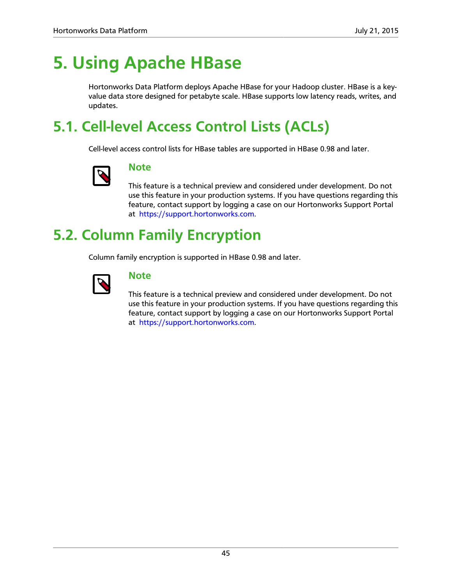## <span id="page-50-0"></span>**5. Using Apache HBase**

Hortonworks Data Platform deploys Apache HBase for your Hadoop cluster. HBase is a keyvalue data store designed for petabyte scale. HBase supports low latency reads, writes, and updates.

## <span id="page-50-1"></span>**5.1. Cell-level Access Control Lists (ACLs)**

Cell-level access control lists for HBase tables are supported in HBase 0.98 and later.



### **Note**

This feature is a technical preview and considered under development. Do not use this feature in your production systems. If you have questions regarding this feature, contact support by logging a case on our Hortonworks Support Portal at<https://support.hortonworks.com>.

## <span id="page-50-2"></span>**5.2. Column Family Encryption**

Column family encryption is supported in HBase 0.98 and later.



### **Note**

This feature is a technical preview and considered under development. Do not use this feature in your production systems. If you have questions regarding this feature, contact support by logging a case on our Hortonworks Support Portal at<https://support.hortonworks.com>.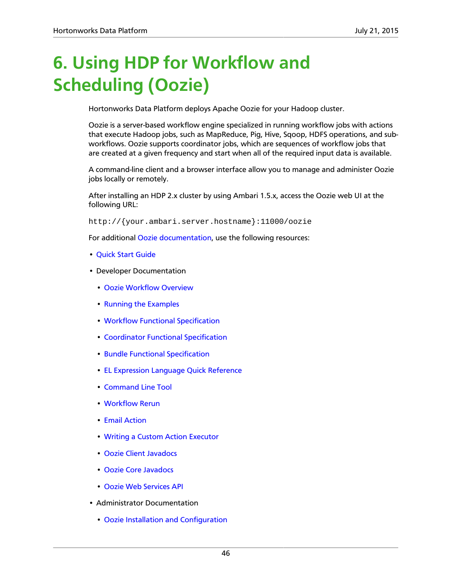## <span id="page-51-0"></span>**6. Using HDP for Workflow and Scheduling (Oozie)**

Hortonworks Data Platform deploys Apache Oozie for your Hadoop cluster.

Oozie is a server-based workflow engine specialized in running workflow jobs with actions that execute Hadoop jobs, such as MapReduce, Pig, Hive, Sqoop, HDFS operations, and subworkflows. Oozie supports coordinator jobs, which are sequences of workflow jobs that are created at a given frequency and start when all of the required input data is available.

A command-line client and a browser interface allow you to manage and administer Oozie jobs locally or remotely.

After installing an HDP 2.x cluster by using Ambari 1.5.x, access the Oozie web UI at the following URL:

http://{your.ambari.server.hostname}:11000/oozie

For additional [Oozie documentation,](http://oozie.apache.org/docs/4.2.0/) use the following resources:

- [Quick Start Guide](http://oozie.apache.org/docs/4.2.0/DG_QuickStart.html)
- Developer Documentation
	- [Oozie Workflow Overview](http://oozie.apache.org/docs/4.2.0/DG_Overview.html)
	- [Running the Examples](http://oozie.apache.org/docs/4.2.0/DG_Examples.html)
	- [Workflow Functional Specification](http://oozie.apache.org/docs/4.2.0/WorkflowFunctionalSpec.html)
	- [Coordinator Functional Specification](http://oozie.apache.org/docs/4.2.0/CoordinatorFunctionalSpec.html)
	- [Bundle Functional Specification](http://oozie.apache.org/docs/4.2.0/BundleFunctionalSpec.html)
	- [EL Expression Language Quick Reference](http://docs.oracle.com/javaee/1.4/tutorial/doc/)
	- [Command Line Tool](http://oozie.apache.org/docs/4.2.0/DG_CommandLineTool.html)
	- [Workflow Rerun](http://oozie.apache.org/docs/4.2.0/DG_WorkflowReRun.html)
	- [Email Action](http://oozie.apache.org/docs/4.2.0/DG_EmailActionExtension.html)
	- [Writing a Custom Action Executor](http://oozie.apache.org/docs/4.2.0/DG_CustomActionExecutor.html)
	- [Oozie Client Javadocs](http://oozie.apache.org/docs/4.2.0/client/apidocs/index.html)
	- [Oozie Core Javadocs](http://oozie.apache.org/docs/4.2.0/core/apidocs/index.html)
	- [Oozie Web Services API](http://oozie.apache.org/docs/4.2.0/WebServicesAPI.html)
- Administrator Documentation
	- [Oozie Installation and Configuration](http://oozie.apache.org/docs/4.2.0/AG_Install.html)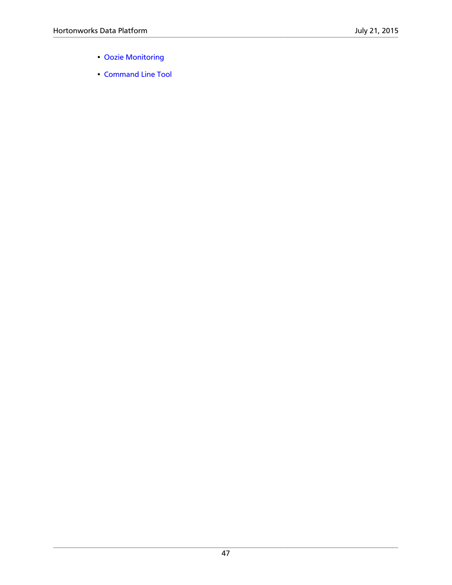- [Oozie Monitoring](http://oozie.apache.org/docs/4.2.0/AG_Monitoring.html)
- [Command Line Tool](http://oozie.apache.org/docs/4.2.0/DG_CommandLineTool.html)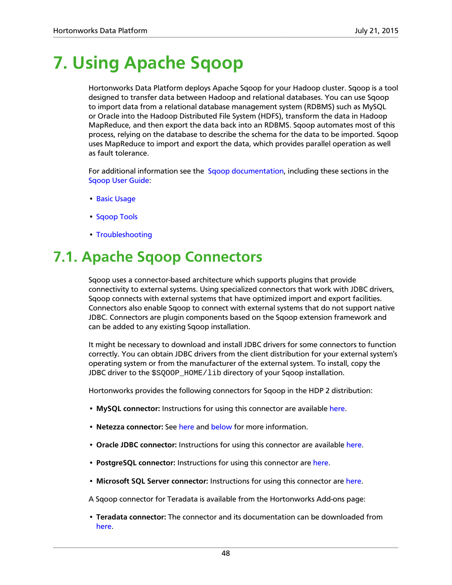## <span id="page-53-0"></span>**7. Using Apache Sqoop**

Hortonworks Data Platform deploys Apache Sqoop for your Hadoop cluster. Sqoop is a tool designed to transfer data between Hadoop and relational databases. You can use Sqoop to import data from a relational database management system (RDBMS) such as MySQL or Oracle into the Hadoop Distributed File System (HDFS), transform the data in Hadoop MapReduce, and then export the data back into an RDBMS. Sqoop automates most of this process, relying on the database to describe the schema for the data to be imported. Sqoop uses MapReduce to import and export the data, which provides parallel operation as well as fault tolerance.

For additional information see the [Sqoop documentation,](http://sqoop.apache.org/docs/1.4.6/index.html) including these sections in the [Sqoop User Guide](http://sqoop.apache.org/docs/1.4.6/SqoopUserGuide.html):

- [Basic Usage](http://sqoop.apache.org/docs/1.4.6/SqoopUserGuide.html#_basic_usage)
- [Sqoop Tools](http://sqoop.apache.org/docs/1.4.6/SqoopUserGuide.html#_sqoop_tools)
- [Troubleshooting](http://sqoop.apache.org/docs/1.4.6/SqoopUserGuide.html#_troubleshooting)

## <span id="page-53-1"></span>**7.1. Apache Sqoop Connectors**

Sqoop uses a connector-based architecture which supports plugins that provide connectivity to external systems. Using specialized connectors that work with JDBC drivers, Sqoop connects with external systems that have optimized import and export facilities. Connectors also enable Sqoop to connect with external systems that do not support native JDBC. Connectors are plugin components based on the Sqoop extension framework and can be added to any existing Sqoop installation.

It might be necessary to download and install JDBC drivers for some connectors to function correctly. You can obtain JDBC drivers from the client distribution for your external system's operating system or from the manufacturer of the external system. To install, copy the JDBC driver to the \$SOOOP\_HOME/lib directory of your Sqoop installation.

Hortonworks provides the following connectors for Sqoop in the HDP 2 distribution:

- **MySQL connector:** Instructions for using this connector are available [here](http://sqoop.apache.org/docs/1.4.6/SqoopUserGuide.html#_mysql_jdbc_connector).
- **Netezza connector:** See [here](http://sqoop.apache.org/docs/1.4.6/SqoopUserGuide.html#_netezza_connector) and [below](#page-54-1) for more information.
- **Oracle JDBC connector:** Instructions for using this connector are available [here](http://sqoop.apache.org/docs/1.4.6/SqoopUserGuide.html#_data_connector_for_oracle_and_hadoop).
- **PostgreSQL connector:** Instructions for using this connector are [here](http://sqoop.apache.org/docs/1.4.6/SqoopUserGuide.html#_postgresql_connector).
- **Microsoft SQL Server connector:** Instructions for using this connector are [here.](http://sqoop.apache.org/docs/1.4.6/SqoopUserGuide.html#_microsoft_sql_connector)

A Sqoop connector for Teradata is available from the Hortonworks Add-ons page:

• **Teradata connector:** The connector and its documentation can be downloaded from [here](https://hortonworks.com/products/releases/hdp-2-3/#add_ons).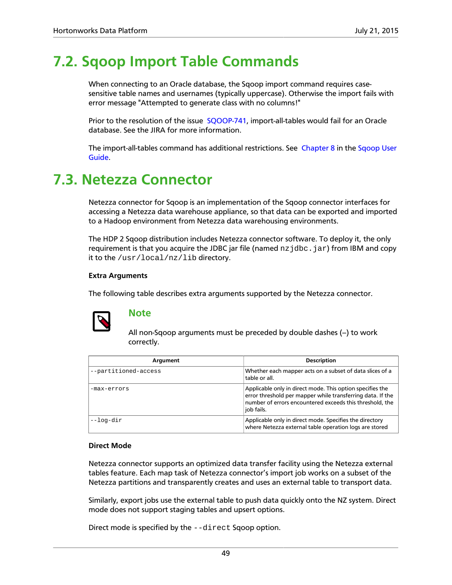## <span id="page-54-0"></span>**7.2. Sqoop Import Table Commands**

When connecting to an Oracle database, the Sqoop import command requires casesensitive table names and usernames (typically uppercase). Otherwise the import fails with error message "Attempted to generate class with no columns!"

Prior to the resolution of the issue [SQOOP-741](https://issues.apache.org/jira/browse/SQOOP-741), import-all-tables would fail for an Oracle database. See the JIRA for more information.

The import-all-tables command has additional restrictions. See [Chapter 8](http://sqoop.apache.org/docs/1.4.6/SqoopUserGuide.html#_literal_sqoop_import_all_tables_literal) in the [Sqoop User](http://sqoop.apache.org/docs/1.4.6/SqoopUserGuide.html) [Guide](http://sqoop.apache.org/docs/1.4.6/SqoopUserGuide.html).

## <span id="page-54-1"></span>**7.3. Netezza Connector**

Netezza connector for Sqoop is an implementation of the Sqoop connector interfaces for accessing a Netezza data warehouse appliance, so that data can be exported and imported to a Hadoop environment from Netezza data warehousing environments.

The HDP 2 Sqoop distribution includes Netezza connector software. To deploy it, the only requirement is that you acquire the JDBC jar file (named  $nz$  jdbc. jar) from IBM and copy it to the /usr/local/nz/lib directory.

### **Extra Arguments**

The following table describes extra arguments supported by the Netezza connector.



### **Note**

All non-Sqoop arguments must be preceded by double dashes  $(-)$  to work correctly.

| Argument             | <b>Description</b>                                                                                                                                                                                |
|----------------------|---------------------------------------------------------------------------------------------------------------------------------------------------------------------------------------------------|
| --partitioned-access | Whether each mapper acts on a subset of data slices of a<br>table or all.                                                                                                                         |
| -max-errors          | Applicable only in direct mode. This option specifies the<br>error threshold per mapper while transferring data. If the<br>number of errors encountered exceeds this threshold, the<br>job fails. |
| --log-dir            | Applicable only in direct mode. Specifies the directory<br>where Netezza external table operation logs are stored                                                                                 |

#### **Direct Mode**

Netezza connector supports an optimized data transfer facility using the Netezza external tables feature. Each map task of Netezza connector's import job works on a subset of the Netezza partitions and transparently creates and uses an external table to transport data.

Similarly, export jobs use the external table to push data quickly onto the NZ system. Direct mode does not support staging tables and upsert options.

Direct mode is specified by the --direct Sqoop option.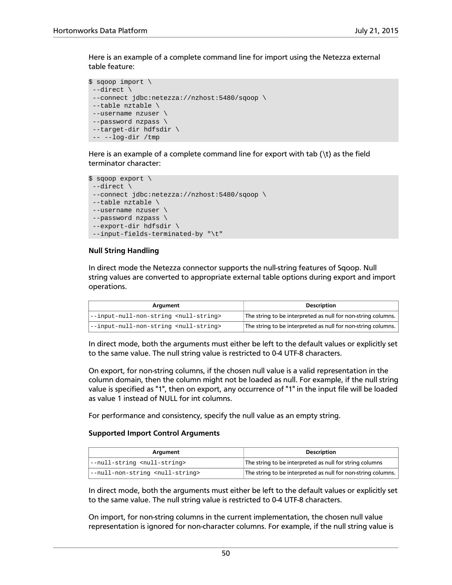Here is an example of a complete command line for import using the Netezza external table feature:

```
$ sqoop import \
 --direct \
 --connect jdbc:netezza://nzhost:5480/sqoop \
 --table nztable \
 --username nzuser \
 --password nzpass \
 --target-dir hdfsdir \
 -- --log-dir /tmp
```
Here is an example of a complete command line for export with tab  $(\t t)$  as the field terminator character:

```
$ sqoop export \
 --direct \
  --connect jdbc:netezza://nzhost:5480/sqoop \
  --table nztable \
 --username nzuser \
 --password nzpass \
  --export-dir hdfsdir \
 --input-fields-terminated-by "\t"
```
#### **Null String Handling**

In direct mode the Netezza connector supports the null-string features of Sqoop. Null string values are converted to appropriate external table options during export and import operations.

| Argument                                            | <b>Description</b>                                           |
|-----------------------------------------------------|--------------------------------------------------------------|
| --input-null-non-string <null-string></null-string> | The string to be interpreted as null for non-string columns. |
| --input-null-non-string <null-string></null-string> | The string to be interpreted as null for non-string columns. |

In direct mode, both the arguments must either be left to the default values or explicitly set to the same value. The null string value is restricted to 0-4 UTF-8 characters.

On export, for non-string columns, if the chosen null value is a valid representation in the column domain, then the column might not be loaded as null. For example, if the null string value is specified as "1", then on export, any occurrence of "1" in the input file will be loaded as value 1 instead of NULL for int columns.

For performance and consistency, specify the null value as an empty string.

#### **Supported Import Control Arguments**

| Argument                                      | <b>Description</b>                                           |
|-----------------------------------------------|--------------------------------------------------------------|
| --null-string <null-string></null-string>     | The string to be interpreted as null for string columns      |
| --null-non-string <null-string></null-string> | The string to be interpreted as null for non-string columns. |

In direct mode, both the arguments must either be left to the default values or explicitly set to the same value. The null string value is restricted to 0-4 UTF-8 characters.

On import, for non-string columns in the current implementation, the chosen null value representation is ignored for non-character columns. For example, if the null string value is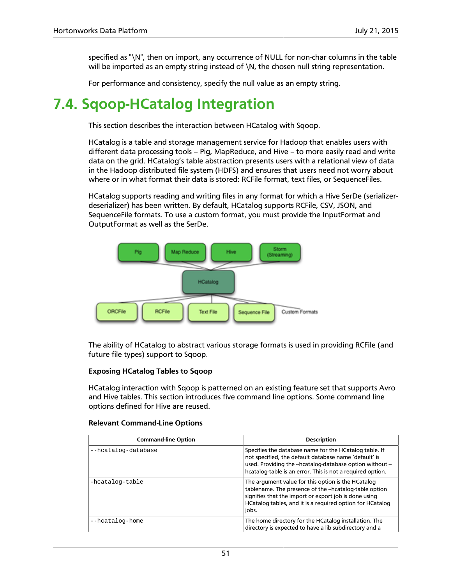specified as "\N", then on import, any occurrence of NULL for non-char columns in the table will be imported as an empty string instead of \N, the chosen null string representation.

For performance and consistency, specify the null value as an empty string.

## <span id="page-56-0"></span>**7.4. Sqoop-HCatalog Integration**

This section describes the interaction between HCatalog with Sqoop.

HCatalog is a table and storage management service for Hadoop that enables users with different data processing tools – Pig, MapReduce, and Hive – to more easily read and write data on the grid. HCatalog's table abstraction presents users with a relational view of data in the Hadoop distributed file system (HDFS) and ensures that users need not worry about where or in what format their data is stored: RCFile format, text files, or SequenceFiles.

HCatalog supports reading and writing files in any format for which a Hive SerDe (serializerdeserializer) has been written. By default, HCatalog supports RCFile, CSV, JSON, and SequenceFile formats. To use a custom format, you must provide the InputFormat and OutputFormat as well as the SerDe.



The ability of HCatalog to abstract various storage formats is used in providing RCFile (and future file types) support to Sqoop.

### **Exposing HCatalog Tables to Sqoop**

HCatalog interaction with Sqoop is patterned on an existing feature set that supports Avro and Hive tables. This section introduces five command line options. Some command line options defined for Hive are reused.

| <b>Command-line Option</b> | <b>Description</b>                                                                                                                                                                                                                         |
|----------------------------|--------------------------------------------------------------------------------------------------------------------------------------------------------------------------------------------------------------------------------------------|
| --hcatalog-database        | Specifies the database name for the HCatalog table. If<br>not specified, the default database name 'default' is<br>used. Providing the -hcatalog-database option without -<br>hcatalog-table is an error. This is not a required option.   |
| -hcatalog-table            | The argument value for this option is the HCatalog<br>tablename. The presence of the -hcatalog-table option<br>signifies that the import or export job is done using<br>HCatalog tables, and it is a required option for HCatalog<br>jobs. |
| --hcatalog-home            | The home directory for the HCatalog installation. The<br>directory is expected to have a lib subdirectory and a                                                                                                                            |

#### **Relevant Command-Line Options**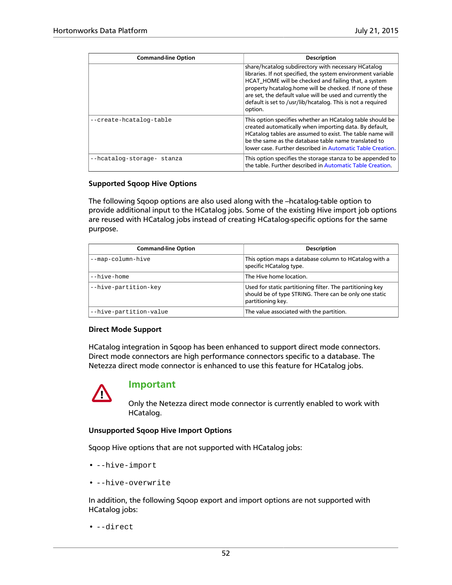| <b>Command-line Option</b> | <b>Description</b>                                                                                                                                                                                                                                                                                                                                                             |
|----------------------------|--------------------------------------------------------------------------------------------------------------------------------------------------------------------------------------------------------------------------------------------------------------------------------------------------------------------------------------------------------------------------------|
|                            | share/hcatalog subdirectory with necessary HCatalog<br>libraries. If not specified, the system environment variable<br>HCAT HOME will be checked and failing that, a system<br>property hcatalog.home will be checked. If none of these<br>are set, the default value will be used and currently the<br>default is set to /usr/lib/hcatalog. This is not a required<br>option. |
| --create-hcatalog-table    | This option specifies whether an HCatalog table should be<br>created automatically when importing data. By default,<br>HCatalog tables are assumed to exist. The table name will<br>be the same as the database table name translated to<br>lower case. Further described in Automatic Table Creation.                                                                         |
| --hcatalog-storage- stanza | This option specifies the storage stanza to be appended to<br>the table. Further described in Automatic Table Creation.                                                                                                                                                                                                                                                        |

### **Supported Sqoop Hive Options**

The following Sqoop options are also used along with the --hcatalog-table option to provide additional input to the HCatalog jobs. Some of the existing Hive import job options are reused with HCatalog jobs instead of creating HCatalog-specific options for the same purpose.

| <b>Command-line Option</b> | <b>Description</b>                                                                                                                       |
|----------------------------|------------------------------------------------------------------------------------------------------------------------------------------|
| --map-column-hive          | This option maps a database column to HCatalog with a<br>specific HCatalog type.                                                         |
| --hive-home                | The Hive home location.                                                                                                                  |
| --hive-partition-key       | Used for static partitioning filter. The partitioning key<br>should be of type STRING. There can be only one static<br>partitioning key. |
| --hive-partition-value     | The value associated with the partition.                                                                                                 |

### **Direct Mode Support**

HCatalog integration in Sqoop has been enhanced to support direct mode connectors. Direct mode connectors are high performance connectors specific to a database. The Netezza direct mode connector is enhanced to use this feature for HCatalog jobs.



### **Important**

Only the Netezza direct mode connector is currently enabled to work with HCatalog.

### **Unsupported Sqoop Hive Import Options**

Sqoop Hive options that are not supported with HCatalog jobs:

- --hive-import
- --hive-overwrite

In addition, the following Sqoop export and import options are not supported with HCatalog jobs:

• --direct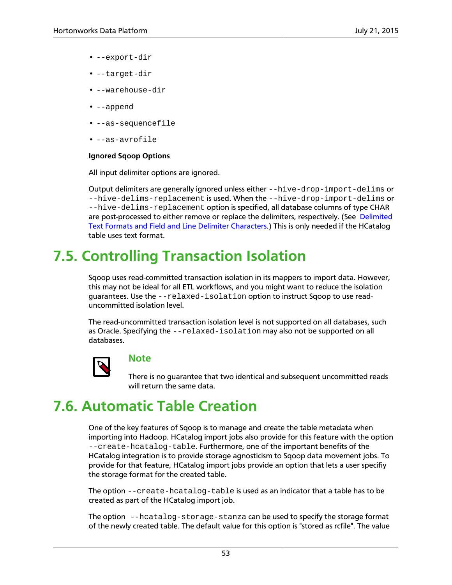- --export-dir
- --target-dir
- --warehouse-dir
- --append
- --as-sequencefile
- --as-avrofile

### **Ignored Sqoop Options**

All input delimiter options are ignored.

Output delimiters are generally ignored unless either --hive-drop-import-delims or --hive-delims-replacement is used. When the --hive-drop-import-delims or --hive-delims-replacement option is specified, all database columns of type CHAR are post-processed to either remove or replace the delimiters, respectively. (See [Delimited](#page-59-0) [Text Formats and Field and Line Delimiter Characters](#page-59-0).) This is only needed if the HCatalog table uses text format.

## <span id="page-58-0"></span>**7.5. Controlling Transaction Isolation**

Sqoop uses read-committed transaction isolation in its mappers to import data. However, this may not be ideal for all ETL workflows, and you might want to reduce the isolation guarantees. Use the --relaxed-isolation option to instruct Sqoop to use readuncommitted isolation level.

The read-uncommitted transaction isolation level is not supported on all databases, such as Oracle. Specifying the --relaxed-isolation may also not be supported on all databases.



### **Note**

There is no guarantee that two identical and subsequent uncommitted reads will return the same data.

## <span id="page-58-1"></span>**7.6. Automatic Table Creation**

One of the key features of Sqoop is to manage and create the table metadata when importing into Hadoop. HCatalog import jobs also provide for this feature with the option --create-hcatalog-table. Furthermore, one of the important benefits of the HCatalog integration is to provide storage agnosticism to Sqoop data movement jobs. To provide for that feature, HCatalog import jobs provide an option that lets a user specifiy the storage format for the created table.

The option --create-hcatalog-table is used as an indicator that a table has to be created as part of the HCatalog import job.

The option --hcatalog-storage-stanza can be used to specify the storage format of the newly created table. The default value for this option is "stored as rcfile". The value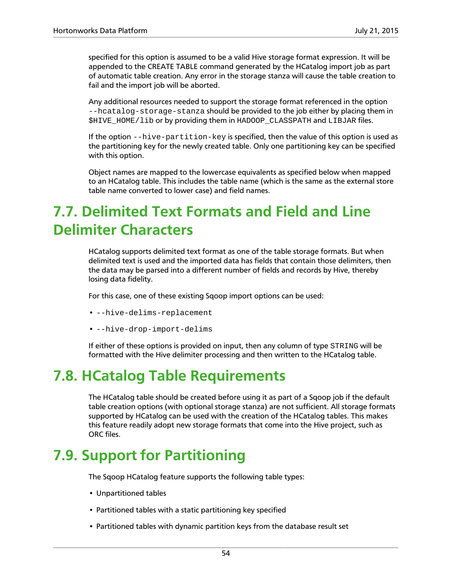specified for this option is assumed to be a valid Hive storage format expression. It will be appended to the CREATE TABLE command generated by the HCatalog import job as part of automatic table creation. Any error in the storage stanza will cause the table creation to fail and the import job will be aborted.

Any additional resources needed to support the storage format referenced in the option --hcatalog-storage-stanza should be provided to the job either by placing them in \$HIVE\_HOME/lib or by providing them in HADOOP\_CLASSPATH and LIBJAR files.

If the option --hive-partition-key is specified, then the value of this option is used as the partitioning key for the newly created table. Only one partitioning key can be specified with this option.

Object names are mapped to the lowercase equivalents as specified below when mapped to an HCatalog table. This includes the table name (which is the same as the external store table name converted to lower case) and field names.

## <span id="page-59-0"></span>**7.7. Delimited Text Formats and Field and Line Delimiter Characters**

HCatalog supports delimited text format as one of the table storage formats. But when delimited text is used and the imported data has fields that contain those delimiters, then the data may be parsed into a different number of fields and records by Hive, thereby losing data fidelity.

For this case, one of these existing Sqoop import options can be used:

- --hive-delims-replacement
- --hive-drop-import-delims

If either of these options is provided on input, then any column of type STRING will be formatted with the Hive delimiter processing and then written to the HCatalog table.

## <span id="page-59-1"></span>**7.8. HCatalog Table Requirements**

The HCatalog table should be created before using it as part of a Sqoop job if the default table creation options (with optional storage stanza) are not sufficient. All storage formats supported by HCatalog can be used with the creation of the HCatalog tables. This makes this feature readily adopt new storage formats that come into the Hive project, such as ORC files.

## <span id="page-59-2"></span>**7.9. Support for Partitioning**

The Sqoop HCatalog feature supports the following table types:

- Unpartitioned tables
- Partitioned tables with a static partitioning key specified
- Partitioned tables with dynamic partition keys from the database result set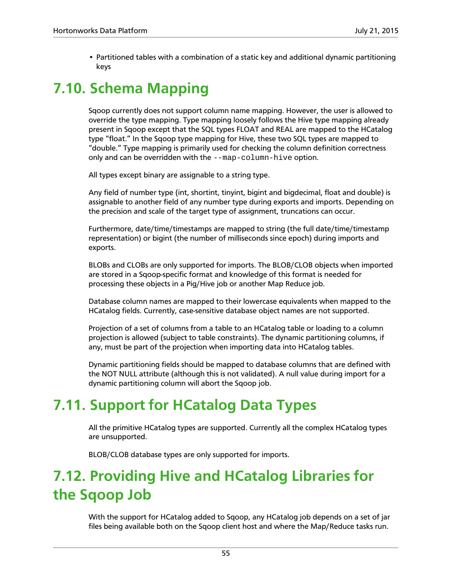• Partitioned tables with a combination of a static key and additional dynamic partitioning keys

## <span id="page-60-0"></span>**7.10. Schema Mapping**

Sqoop currently does not support column name mapping. However, the user is allowed to override the type mapping. Type mapping loosely follows the Hive type mapping already present in Sqoop except that the SQL types FLOAT and REAL are mapped to the HCatalog type "float." In the Sqoop type mapping for Hive, these two SQL types are mapped to "double." Type mapping is primarily used for checking the column definition correctness only and can be overridden with the --map-column-hive option.

All types except binary are assignable to a string type.

Any field of number type (int, shortint, tinyint, bigint and bigdecimal, float and double) is assignable to another field of any number type during exports and imports. Depending on the precision and scale of the target type of assignment, truncations can occur.

Furthermore, date/time/timestamps are mapped to string (the full date/time/timestamp representation) or bigint (the number of milliseconds since epoch) during imports and exports.

BLOBs and CLOBs are only supported for imports. The BLOB/CLOB objects when imported are stored in a Sqoop-specific format and knowledge of this format is needed for processing these objects in a Pig/Hive job or another Map Reduce job.

Database column names are mapped to their lowercase equivalents when mapped to the HCatalog fields. Currently, case-sensitive database object names are not supported.

Projection of a set of columns from a table to an HCatalog table or loading to a column projection is allowed (subject to table constraints). The dynamic partitioning columns, if any, must be part of the projection when importing data into HCatalog tables.

Dynamic partitioning fields should be mapped to database columns that are defined with the NOT NULL attribute (although this is not validated). A null value during import for a dynamic partitioning column will abort the Sqoop job.

## <span id="page-60-1"></span>**7.11. Support for HCatalog Data Types**

All the primitive HCatalog types are supported. Currently all the complex HCatalog types are unsupported.

BLOB/CLOB database types are only supported for imports.

## <span id="page-60-2"></span>**7.12. Providing Hive and HCatalog Libraries for the Sqoop Job**

With the support for HCatalog added to Sqoop, any HCatalog job depends on a set of jar files being available both on the Sqoop client host and where the Map/Reduce tasks run.